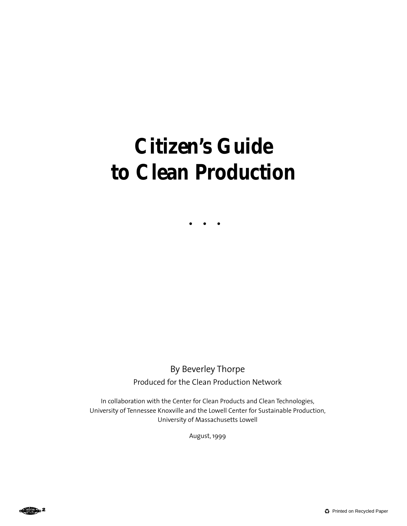# **Citizen's Guide to Clean Production**

...

By Beverley Thorpe Produced for the Clean Production Network

In collaboration with the Center for Clean Products and Clean Technologies, University of Tennessee Knoxville and the Lowell Center for Sustainable Production, University of Massachusetts Lowell

August, 1999

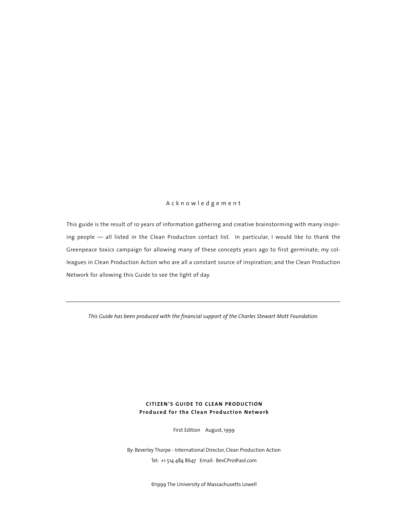#### Acknowledgement

This guide is the result of 10 years of information gathering and creative brainstorming with many inspiring people — all listed in the Clean Production contact list. In particular, I would like to thank the Greenpeace toxics campaign for allowing many of these concepts years ago to first germinate; my colleagues in Clean Production Action who are all a constant source of inspiration; and the Clean Production Network for allowing this Guide to see the light of day.

*This Guide has been produced with the financial support of the Charles Stewart Mott Foundation.*

## **CITIZEN'S GUIDE TO CLEAN PRODUCTION Produced for the Clean Production Network**

First Edition August, 1999

By: Beverley Thorpe - International Director, Clean Production Action Tel: +1 514 484 8647 Email: BevCPro@aol.com

©1999 The University of Massachusetts Lowell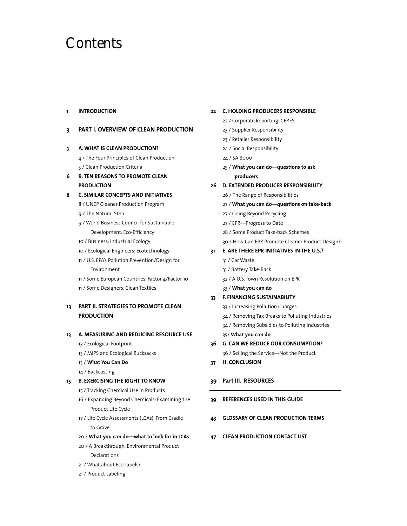## **Contents**

## **1 INTRODUCTION**

## **3 PART I. OVERVIEW OF CLEAN PRODUCTION**

#### **3 A. WHAT IS CLEAN PRODUCTION?**

4 / The Four Principles of Clean Production 5 / Clean Production Criteria

**6 B. TEN REASONS TO PROMOTE CLEAN PRODUCTION**

#### **8 C. SIMILAR CONCEPTS AND INITIATIVES**

- 8 / UNEP Cleaner Production Program
- 9 / The Natural Step
- 9 / World Business Council for Sustainable Development: Eco-Efficiency
- 10 / Business: Industrial Ecology
- 10 / Ecological Engineers: Ecotechnology
- 11 / U.S. EPA's Pollution Prevention/Design for

## Environment

- 11 / Some European Countries: Factor 4/Factor 10
- 11 / Some Designers: Clean Textiles

## **13 PART II. STRATEGIES TO PROMOTE CLEAN PRODUCTION**

#### **13 A. MEASURING AND REDUCING RESOURCE USE**

- 13 / Ecological Footprint
- 13 / MIPS and Ecological Rucksacks
- 13 / **What You Can Do**
- 14 / Backcasting
- **15 B. EXERCISING THE RIGHT TO KNOW** 
	- 15 / Tracking Chemical Use in Products
	- 16 / Expanding Beyond Chemicals: Examining the Product Life Cycle
	- 17 / Life Cycle Assessments (LCAs): From Cradle to Grave

#### 20 / **What you can do—what to look for in LCAs**

- 20 / A Breakthrough: Environmental Product Declarations
- 21 / What about Eco-labels?
- 21 / Product Labeling

#### **22 C. HOLDING PRODUCERS RESPONSIBLE**

- 22 / Corporate Reporting: CERES
- 23 / Supplier Responsibility
- 23 / Retailer Responsibility
- 24 / Social Responsibility
- 24 / SA 8000
- 25 / **What you can do—questions to ask** 
	- **producers**
- **26 D. EXTENDED PRODUCER RESPONSIBILITY** 
	- 26 / The Range of Responsibilities
	- 27 / **What you can do—questions on take-back**
	- 27 / Going Beyond Recycling
	- 27 / EPR—Progress to Date
	- 28 / Some Product Take-back Schemes
	- 30 / How Can EPR Promote Cleaner Product Design?
- **31 E. ARE THERE EPR INITIATIVES IN THE U.S.?** 
	- 31 / Car Waste
	- 31 / Battery Take-Back
	- 32 / A U.S. Town Resolution on EPR
	- 33 / **What you can do**

#### **33 F. FINANCING SUSTAINABILITY**

- 33 / Increasing Pollution Charges
- 34 / Removing Tax Breaks to Polluting Industries
- 34 / Removing Subsidies to Polluting Industries
- 35/ **What you can do**
- **36 G. CAN WE REDUCE OUR CONSUMPTION?**
	- 36 / Selling the Service—Not the Product
- **37 H. CONCLUSION**
- **39 Part III. RESOURCES**

#### **39 REFERENCES USED IN THIS GUIDE**

- **43 GLOSSARY OF CLEAN PRODUCTION TERMS**
- **47 CLEAN PRODUCTION CONTACT LIST**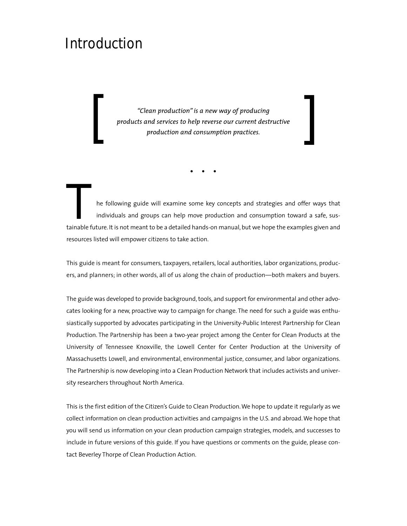## Introduction

*"Clean production" is a new way of producing products and services to help reverse our current destructive production and consumption practices.* "Clean production" is a new way of producing<br>products and services to help reverse our current destructive<br>production and consumption practices.

...

he following guide will examine some key concepts and strategies and offer ways that individuals and groups can help move production and consumption toward a safe, susthe following guide will examine some key concepts and strategies and offer ways that<br>
individuals and groups can help move production and consumption toward a safe, sus-<br>
tainable future. It is not meant to be a detailed resources listed will empower citizens to take action.

This guide is meant for consumers, taxpayers, retailers, local authorities, labor organizations, producers, and planners; in other words, all of us along the chain of production—both makers and buyers.

The guide was developed to provide background, tools, and support for environmental and other advocates looking for a new, proactive way to campaign for change. The need for such a guide was enthusiastically supported by advocates participating in the University-Public Interest Partnership for Clean Production. The Partnership has been a two-year project among the Center for Clean Products at the University of Tennessee Knoxville, the Lowell Center for Center Production at the University of Massachusetts Lowell, and environmental, environmental justice, consumer, and labor organizations. The Partnership is now developing into a Clean Production Network that includes activists and university researchers throughout North America.

This is the first edition of the Citizen's Guide to Clean Production. We hope to update it regularly as we collect information on clean production activities and campaigns in the U.S. and abroad. We hope that you will send us information on your clean production campaign strategies, models, and successes to include in future versions of this guide. If you have questions or comments on the guide, please contact Beverley Thorpe of Clean Production Action.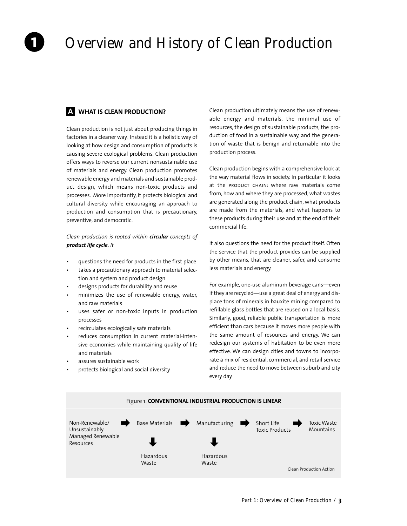## **1** Overview and History of Clean Production

## **A WHAT IS CLEAN PRODUCTION?**

Clean production is not just about producing things in factories in a cleaner way. Instead it is a holistic way of looking at how design and consumption of products is causing severe ecological problems. Clean production offers ways to reverse our current nonsustainable use of materials and energy. Clean production promotes renewable energy and materials and sustainable product design, which means non-toxic products and processes. More importantly, it protects biological and cultural diversity while encouraging an approach to production and consumption that is precautionary, preventive, and democratic.

## *Clean production is rooted within circular concepts of product life cycle. It*

- •questions the need for products in the first place
- •takes a precautionary approach to material selection and system and product design
- •designs products for durability and reuse
- •minimizes the use of renewable energy, water, and raw materials
- uses safer or non-toxic inputs in production processes
- •recirculates ecologically safe materials
- reduces consumption in current material-intensive economies while maintaining quality of life and materials
- assures sustainable work
- •protects biological and social diversity

Clean production ultimately means the use of renewable energy and materials, the minimal use of resources, the design of sustainable products, the production of food in a sustainable way, and the generation of waste that is benign and returnable into the production process.

Clean production begins with a comprehensive look at the way material flows in society. In particular it looks at the PRODUCT CHAIN: where raw materials come from, how and where they are processed, what wastes are generated along the product chain, what products are made from the materials, and what happens to these products during their use and at the end of their commercial life.

It also questions the need for the product itself. Often the service that the product provides can be supplied by other means, that are cleaner, safer, and consume less materials and energy.

For example, one-use aluminum beverage cans—even if they are recycled—use a great deal of energy and displace tons of minerals in bauxite mining compared to refillable glass bottles that are reused on a local basis. Similarly, good, reliable public transportation is more efficient than cars because it moves more people with the same amount of resources and energy. We can redesign our systems of habitation to be even more effective. We can design cities and towns to incorporate a mix of residential, commercial, and retail service and reduce the need to move between suburb and city every day.

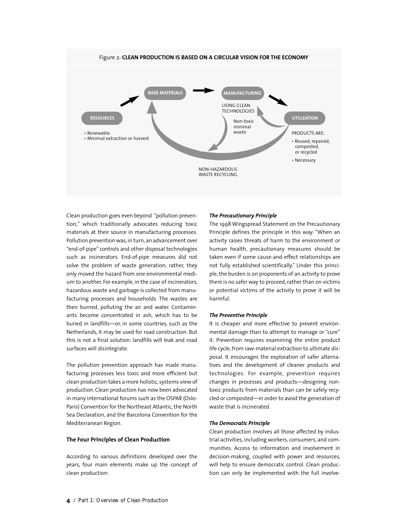

Clean production goes even beyond "pollution prevention," which traditionally advocates reducing toxic materials at their source in manufacturing processes. Pollution prevention was, in turn, an advancement over "end-of-pipe" controls and other disposal technologies such as incinerators. End-of-pipe measures did not solve the problem of waste generation; rather, they only moved the hazard from one environmental medium to another. For example, in the case of incinerators, hazardous waste and garbage is collected from manufacturing processes and households. The wastes are then burned, polluting the air and water. Contaminants become concentrated in ash, which has to be buried in landfills—or, in some countries, such as the Netherlands, it may be used for road construction. But this is not a final solution: landfills will leak and road surfaces will disintegrate.

The pollution prevention approach has made manufacturing processes less toxic and more efficient but clean production takes a more holistic, systems view of production. Clean production has now been advocated in many international forums such as the OSPAR (Oslo-Paris) Convention for the Northeast Atlantic, the North Sea Declaration, and the Barcelona Convention for the Mediterranean Region.

#### **The Four Principles of Clean Production**

According to various definitions developed over the years, four main elements make up the concept of clean production:

#### *The Precautionary Principle*

The 1998 Wingspread Statement on the Precautionary Principle defines the principle in this way: "When an activity raises threats of harm to the environment or human health, precautionary measures should be taken even if some cause-and-effect relationships are not fully established scientifically." Under this principle, the burden is on proponents of an activity to prove there is no safer way to proceed, rather than on victims or potential victims of the activity to prove it will be harmful.

#### *The Preventive Principle*

It is cheaper and more effective to prevent environmental damage than to attempt to manage or "cure" it. Prevention requires examining the entire product life cycle, from raw-material extraction to ultimate disposal. It encourages the exploration of safer alternatives and the development of cleaner products and technologies. For example, prevention requires changes in processes and products—designing nontoxic products from materials than can be safely recycled or composted—in order to avoid the generation of waste that is incinerated.

#### *The Democratic Principle*

Clean production involves all those affected by industrial activities, including workers, consumers, and communities. Access to information and involvement in decision-making, coupled with power and resources, will help to ensure democratic control. Clean production can only be implemented with the full involve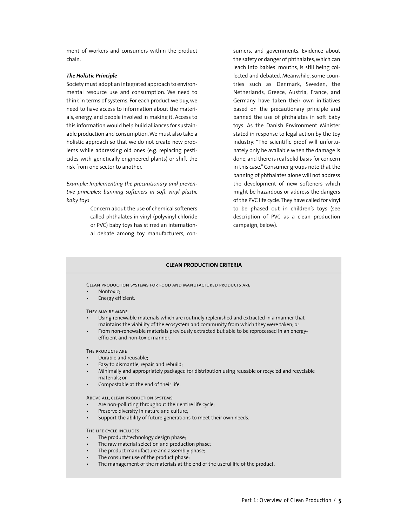ment of workers and consumers within the product chain.

#### *The Holistic Principle*

Society must adopt an integrated approach to environmental resource use and consumption. We need to think in terms of systems. For each product we buy, we need to have access to information about the materials, energy, and people involved in making it. Access to this information would help build alliances for sustainable production and consumption.We must also take a holistic approach so that we do not create new problems while addressing old ones (e.g. replacing pesticides with genetically engineered plants) or shift the risk from one sector to another.

*Example: Implementing the precautionary and preventive principles: banning softeners in soft vinyl plastic baby toys*

> Concern about the use of chemical softeners called phthalates in vinyl (polyvinyl chloride or PVC) baby toys has stirred an international debate among toy manufacturers, con-

sumers, and governments. Evidence about the safety or danger of phthalates, which can leach into babies' mouths, is still being collected and debated. Meanwhile, some countries such as Denmark, Sweden, the Netherlands, Greece, Austria, France, and Germany have taken their own initiatives based on the precautionary principle and banned the use of phthalates in soft baby toys. As the Danish Environment Minister stated in response to legal action by the toy industry: "The scientific proof will unfortunately only be available when the damage is done, and there is real solid basis for concern in this case." Consumer groups note that the banning of phthalates alone will not address the development of new softeners which might be hazardous or address the dangers of the PVC life cycle.They have called for vinyl to be phased out in children's toys (see description of PVC as a clean production campaign, below).

#### **CLEAN PRODUCTION CRITERIA**

Clean production systems for food and manufactured products are

- Nontoxic:
- Energy efficient.

They may be made

- Using renewable materials which are routinely replenished and extracted in a manner that maintains the viability of the ecosystem and community from which they were taken; or
- From non-renewable materials previously extracted but able to be reprocessed in an energyefficient and non-toxic manner.

The products are

- Durable and reusable;
- Easy to dismantle, repair, and rebuild;
- Minimally and appropriately packaged for distribution using reusable or recycled and recyclable materials; or
- Compostable at the end of their life.

Above all, clean production systems

- Are non-polluting throughout their entire life cycle;
- Preserve diversity in nature and culture;
- Support the ability of future generations to meet their own needs.

The life cycle includes

- The product/technology design phase;
- The raw material selection and production phase;
- The product manufacture and assembly phase;
- The consumer use of the product phase;
- The management of the materials at the end of the useful life of the product.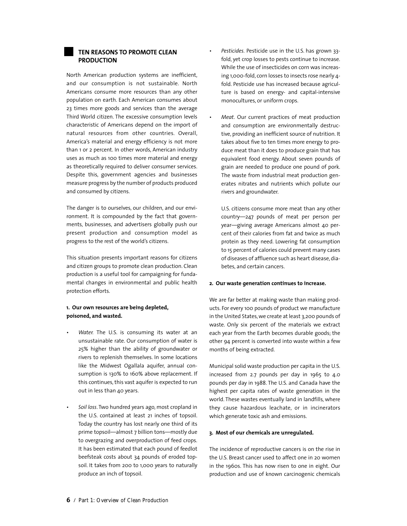## **TEN REASONS TO PROMOTE CLEAN PRODUCTION**

North American production systems are inefficient, and our consumption is not sustainable. North Americans consume more resources than any other population on earth. Each American consumes about 23 times more goods and services than the average Third World citizen. The excessive consumption levels characteristic of Americans depend on the import of natural resources from other countries. Overall, America's material and energy efficiency is not more than 1 or 2 percent. In other words, American industry uses as much as 100 times more material and energy as theoretically required to deliver consumer services. Despite this, government agencies and businesses measure progress by the number of products produced and consumed by citizens.

The danger is to ourselves, our children, and our environment. It is compounded by the fact that governments, businesses, and advertisers globally push our present production and consumption model as progress to the rest of the world's citizens.

This situation presents important reasons for citizens and citizen groups to promote clean production. Clean production is a useful tool for campaigning for fundamental changes in environmental and public health protection efforts.

## **1. Our own resources are being depleted, poisoned, and wasted.**

- Water. The U.S. is consuming its water at an unsustainable rate. Our consumption of water is 25% higher than the ability of groundwater or rivers to replenish themselves. In some locations like the Midwest Ogallala aquifer, annual consumption is 130% to 160% above replacement. If this continues, this vast aquifer is expected to run out in less than 40 years.
- *Soil loss*. Two hundred years ago, most cropland in the U.S. contained at least 21 inches of topsoil. Today the country has lost nearly one third of its prime topsoil—almost 7 billion tons—mostly due to overgrazing and overproduction of feed crops. It has been estimated that each pound of feedlot beefsteak costs about 34 pounds of eroded topsoil. It takes from 200 to 1,000 years to naturally produce an inch of topsoil.
- *Pesticides.* Pesticide use in the U.S. has grown 33 fold, yet crop losses to pests continue to increase. While the use of insecticides on corn was increasing 1,000-fold, corn losses to insects rose nearly 4 fold. Pesticide use has increased because agriculture is based on energy- and capital-intensive monocultures, or uniform crops.
- Meat. Our current practices of meat production and consumption are environmentally destructive, providing an inefficient source of nutrition. It takes about five to ten times more energy to produce meat than it does to produce grain that has equivalent food energy. About seven pounds of grain are needed to produce one pound of pork. The waste from industrial meat production generates nitrates and nutrients which pollute our rivers and groundwater.

U.S. citizens consume more meat than any other country—247 pounds of meat per person per year—giving average Americans almost 40 percent of their calories from fat and twice as much protein as they need. Lowering fat consumption to 15 percent of calories could prevent many cases of diseases of affluence such as heart disease, diabetes, and certain cancers.

#### **2. Our waste generation continues to increase.**

We are far better at making waste than making products. For every 100 pounds of product we manufacture in the United States, we create at least 3,200 pounds of waste. Only six percent of the materials we extract each year from the Earth becomes durable goods; the other 94 percent is converted into waste within a few months of being extracted.

Municipal solid waste production per capita in the U.S. increased from 2.7 pounds per day in 1965 to 4.0 pounds per day in 1988. The U.S. and Canada have the highest per capita rates of waste generation in the world. These wastes eventually land in landfills, where they cause hazardous leachate, or in incinerators which generate toxic ash and emissions.

#### **3. Most of our chemicals are unregulated.**

The incidence of reproductive cancers is on the rise in the U.S. Breast cancer used to affect one in 20 women in the 1960s. This has now risen to one in eight. Our production and use of known carcinogenic chemicals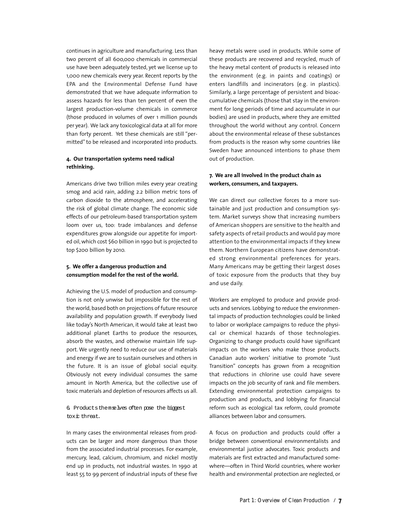continues in agriculture and manufacturing. Less than two percent of all 600,000 chemicals in commercial use have been adequately tested, yet we license up to 1,000 new chemicals every year. Recent reports by the EPA and the Environmental Defense Fund have demonstrated that we have adequate information to assess hazards for less than ten percent of even the largest production-volume chemicals in commerce (those produced in volumes of over 1 million pounds per year). We lack any toxicological data at all for more than forty percent. Yet these chemicals are still "permitted" to be released and incorporated into products.

## **4. Our transportation systems need radical rethinking.**

Americans drive two trillion miles every year creating smog and acid rain, adding 2.2 billion metric tons of carbon dioxide to the atmosphere, and accelerating the risk of global climate change. The economic side effects of our petroleum-based transportation system loom over us, too: trade imbalances and defense expenditures grow alongside our appetite for imported oil, which cost \$60 billion in 1990 but is projected to top \$200 billion by 2010.

## **5. We offer a dangerous production and consumption model for the rest of the world.**

Achieving the U.S. model of production and consumption is not only unwise but impossible for the rest of the world, based both on projections of future resource availability and population growth. If everybody lived like today's North American, it would take at least two additional planet Earths to produce the resources, absorb the wastes, and otherwise maintain life support. We urgently need to reduce our use of materials and energy if we are to sustain ourselves and others in the future. It is an issue of global social equity. Obviously not every individual consumes the same amount in North America, but the collective use of toxic materials and depletion of resources affects us all.

#### 6. Products themselves often pose the biggest toxic threat.

In many cases the environmental releases from products can be larger and more dangerous than those from the associated industrial processes. For example, mercury, lead, calcium, chromium, and nickel mostly end up in products, not industrial wastes. In 1990 at least 55 to 99 percent of industrial inputs of these five

heavy metals were used in products. While some of these products are recovered and recycled, much of the heavy metal content of products is released into the environment (e.g. in paints and coatings) or enters landfills and incinerators (e.g. in plastics). Similarly, a large percentage of persistent and bioaccumulative chemicals (those that stay in the environment for long periods of time and accumulate in our bodies) are used in products, where they are emitted throughout the world without any control. Concern about the environmental release of these substances from products is the reason why some countries like Sweden have announced intentions to phase them out of production.

## **7. We are all involved in the product chain as workers, consumers, and taxpayers.**

We can direct our collective forces to a more sustainable and just production and consumption system. Market surveys show that increasing numbers of American shoppers are sensitive to the health and safety aspects of retail products and would pay more attention to the environmental impacts if they knew them. Northern European citizens have demonstrated strong environmental preferences for years. Many Americans may be getting their largest doses of toxic exposure from the products that they buy and use daily.

Workers are employed to produce and provide products and services. Lobbying to reduce the environmental impacts of production technologies could be linked to labor or workplace campaigns to reduce the physical or chemical hazards of those technologies. Organizing to change products could have significant impacts on the workers who make those products. Canadian auto workers' initiative to promote "Just Transition" concepts has grown from a recognition that reductions in chlorine use could have severe impacts on the job security of rank and file members. Extending environmental protection campaigns to production and products, and lobbying for financial reform such as ecological tax reform, could promote alliances between labor and consumers.

A focus on production and products could offer a bridge between conventional environmentalists and environmental justice advocates. Toxic products and materials are first extracted and manufactured somewhere—often in Third World countries, where worker health and environmental protection are neglected, or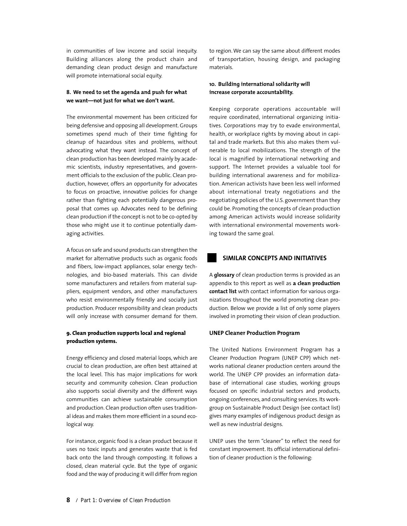in communities of low income and social inequity. Building alliances along the product chain and demanding clean product design and manufacture will promote international social equity.

## **8. We need to set the agenda and push for what we want—not just for what we don't want.**

The environmental movement has been criticized for being defensive and opposing all development. Groups sometimes spend much of their time fighting for cleanup of hazardous sites and problems, without advocating what they want instead. The concept of clean production has been developed mainly by academic scientists, industry representatives, and government officials to the exclusion of the public. Clean production, however, offers an opportunity for advocates to focus on proactive, innovative policies for change rather than fighting each potentially dangerous proposal that comes up. Advocates need to be defining clean production if the concept is not to be co-opted by those who might use it to continue potentially damaging activities.

A focus on safe and sound products can strengthen the market for alternative products such as organic foods and fibers, low-impact appliances, solar energy technologies, and bio-based materials. This can divide some manufacturers and retailers from material suppliers, equipment vendors, and other manufacturers who resist environmentally friendly and socially just production. Producer responsibility and clean products will only increase with consumer demand for them.

## **9. Clean production supports local and regional production systems.**

Energy efficiency and closed material loops, which are crucial to clean production, are often best attained at the local level. This has major implications for work security and community cohesion. Clean production also supports social diversity and the different ways communities can achieve sustainable consumption and production. Clean production often uses traditional ideas and makes them more efficient in a sound ecological way.

For instance, organic food is a clean product because it uses no toxic inputs and generates waste that is fed back onto the land through composting. It follows a closed, clean material cycle. But the type of organic food and the way of producing it will differ from region

to region. We can say the same about different modes of transportation, housing design, and packaging materials.

## **10. Building international solidarity will increase corporate accountability.**

Keeping corporate operations accountable will require coordinated, international organizing initiatives. Corporations may try to evade environmental, health, or workplace rights by moving about in capital and trade markets. But this also makes them vulnerable to local mobilizations. The strength of the local is magnified by international networking and support. The Internet provides a valuable tool for building international awareness and for mobilization. American activists have been less well informed about international treaty negotiations and the negotiating policies of the U.S. government than they could be. Promoting the concepts of clean production among American activists would increase solidarity with international environmental movements working toward the same goal.

## **C SIMILAR CONCEPTS AND INITIATIVES**

A **glossary** of clean production terms is provided as an appendix to this report as well as **a clean production contact list** with contact information for various organizations throughout the world promoting clean production. Below we provide a list of only some players involved in promoting their vision of clean production.

## **UNEP Cleaner Production Program**

The United Nations Environment Program has a Cleaner Production Program (UNEP CPP) which networks national cleaner production centers around the world. The UNEP CPP provides an information database of international case studies, working groups focused on specific industrial sectors and products, ongoing conferences, and consulting services. Its workgroup on Sustainable Product Design (see contact list) gives many examples of indigenous product design as well as new industrial designs.

UNEP uses the term "cleaner" to reflect the need for constant improvement. Its official international definition of cleaner production is the following: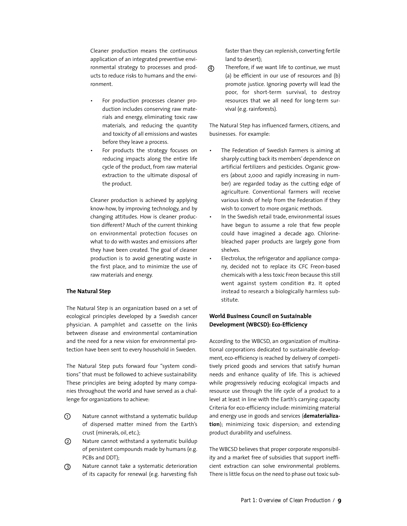Cleaner production means the continuous application of an integrated preventive environmental strategy to processes and products to reduce risks to humans and the environment.

- For production processes cleaner production includes conserving raw materials and energy, eliminating toxic raw materials, and reducing the quantity and toxicity of all emissions and wastes before they leave a process.
- For products the strategy focuses on reducing impacts along the entire life cycle of the product, from raw material extraction to the ultimate disposal of the product.

Cleaner production is achieved by applying know-how, by improving technology, and by changing attitudes. How is cleaner production different? Much of the current thinking on environmental protection focuses on what to do with wastes and emissions after they have been created. The goal of cleaner production is to avoid generating waste in the first place, and to minimize the use of raw materials and energy.

## **The Natural Step**

The Natural Step is an organization based on a set of ecological principles developed by a Swedish cancer physician. A pamphlet and cassette on the links between disease and environmental contamination and the need for a new vision for environmental protection have been sent to every household in Sweden.

The Natural Step puts forward four "system conditions" that must be followed to achieve sustainability. These principles are being adopted by many companies throughout the world and have served as a challenge for organizations to achieve:

- 1 Nature cannot withstand a systematic buildup of dispersed matter mined from the Earth's crust (minerals, oil, etc.);
- 2 Nature cannot withstand a systematic buildup of persistent compounds made by humans (e.g. PCBs and DDT);
- 3 Nature cannot take a systematic deterioration of its capacity for renewal (e.g. harvesting fish

faster than they can replenish, converting fertile land to desert);

(4) Therefore, if we want life to continue, we must (a) be efficient in our use of resources and (b) promote justice. Ignoring poverty will lead the poor, for short-term survival, to destroy resources that we all need for long-term survival (e.g. rainforests).

The Natural Step has influenced farmers, citizens, and businesses. For example:

- The Federation of Swedish Farmers is aiming at sharply cutting back its members' dependence on artificial fertilizers and pesticides. Organic growers (about 2,000 and rapidly increasing in number) are regarded today as the cutting edge of agriculture. Conventional farmers will receive various kinds of help from the Federation if they wish to convert to more organic methods.
- In the Swedish retail trade, environmental issues have begun to assume a role that few people could have imagined a decade ago. Chlorinebleached paper products are largely gone from shelves.
- Electrolux, the refrigerator and appliance company, decided not to replace its CFC Freon-based chemicals with a less toxic Freon because this still went against system condition #2. It opted instead to research a biologically harmless substitute.

## **World Business Council on Sustainable Development (WBCSD): Eco-Efficiency**

According to the WBCSD, an organization of multinational corporations dedicated to sustainable development, eco-efficiency is reached by delivery of competitively priced goods and services that satisfy human needs and enhance quality of life. This is achieved while progressively reducing ecological impacts and resource use through the life cycle of a product to a level at least in line with the Earth's carrying capacity. Criteria for eco-efficiency include: minimizing material and energy use in goods and services (**dematerialization**); minimizing toxic dispersion; and extending product durability and usefulness.

The WBCSD believes that proper corporate responsibility and a market free of subsidies that support inefficient extraction can solve environmental problems. There is little focus on the need to phase out toxic sub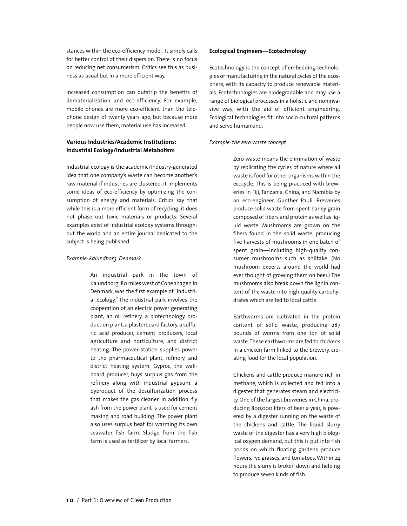stances within the eco-efficiency model. It simply calls for better control of their dispersion. There is no focus on reducing net consumerism. Critics see this as business as usual but in a more efficient way.

Increased consumption can outstrip the benefits of dematerialization and eco-efficiency. For example, mobile phones are more eco-efficient than the telephone design of twenty years ago, but because more people now use them, material use has increased.

## **Various Industries/Academic Institutions: Industrial Ecology/Industrial Metabolism**

Industrial ecology is the academic/industry-generated idea that one company's waste can become another's raw material if industries are clustered. It implements some ideas of eco-efficiency by optimizing the consumption of energy and materials. Critics say that while this is a more efficient form of recycling, it does not phase out toxic materials or products. Several examples exist of industrial ecology systems throughout the world and an entire journal dedicated to the subject is being published.

## *Example: Kalundborg, Denmark*

An industrial park in the town of Kalundborg, 80 miles west of Copenhagen in Denmark, was the first example of "industrial ecology." The industrial park involves the cooperation of an electric power generating plant, an oil refinery, a biotechnology production plant, a plasterboard factory, a sulfuric acid producer, cement producers, local agriculture and horticulture, and district heating. The power station supplies power to the pharmaceutical plant, refinery, and district heating system. Gyproc, the wallboard producer, buys surplus gas from the refinery along with industrial gypsum, a byproduct of the desulfurization process that makes the gas cleaner. In addition, fly ash from the power plant is used for cement making and road building. The power plant also uses surplus heat for warming its own seawater fish farm. Sludge from the fish farm is used as fertilizer by local farmers.

## **Ecological Engineers—Ecotechnology**

Ecotechnology is the concept of embedding technologies or manufacturing in the natural cycles of the ecosphere, with its capacity to produce renewable materials. Ecotechnologies are biodegradable and may use a range of biological processes in a holistic and noninvasive way, with the aid of efficient engineering. Ecological technologies fit into socio-cultural patterns and serve humankind.

## *Example: the zero waste concept*

Zero waste means the elimination of waste by replicating the cycles of nature where all waste is food for other organisms within the ecocycle. This is being practiced with breweries in Fiji, Tanzania, China, and Namibia by an eco-engineer, Gunther Pauli. Breweries produce solid waste from spent barley grain composed of fibers and protein as well as liquid waste. Mushrooms are grown on the fibers found in the solid waste, producing five harvests of mushrooms in one batch of spent grain—including high-quality consumer mushrooms such as shiitake. (No mushroom experts around the world had ever thought of growing them on beer.) The mushrooms also break down the lignin content of the waste into high quality carbohydrates which are fed to local cattle.

Earthworms are cultivated in the protein content of solid waste, producing 287 pounds of worms from one ton of solid waste. These earthworms are fed to chickens in a chicken farm linked to the brewery, creating food for the local population.

Chickens and cattle produce manure rich in methane, which is collected and fed into a digester that generates steam and electricity. One of the largest breweries in China, producing 800,000 liters of beer a year, is powered by a digester running on the waste of the chickens and cattle. The liquid slurry waste of the digester has a very high biological oxygen demand, but this is put into fish ponds on which floating gardens produce flowers, rye grasses, and tomatoes.Within 24 hours the slurry is broken down and helping to produce seven kinds of fish.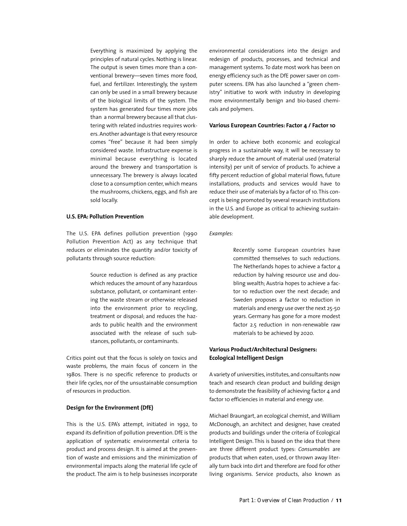Everything is maximized by applying the principles of natural cycles. Nothing is linear. The output is seven times more than a conventional brewery—seven times more food, fuel, and fertilizer. Interestingly, the system can only be used in a small brewery because of the biological limits of the system. The system has generated four times more jobs than a normal brewery because all that clustering with related industries requires workers. Another advantage is that every resource comes "free" because it had been simply considered waste. Infrastructure expense is minimal because everything is located around the brewery and transportation is unnecessary. The brewery is always located close to a consumption center, which means the mushrooms, chickens, eggs, and fish are sold locally.

#### **U.S. EPA: Pollution Prevention**

The U.S. EPA defines pollution prevention (1990 Pollution Prevention Act) as any technique that reduces or eliminates the quantity and/or toxicity of pollutants through source reduction:

> Source reduction is defined as any practice which reduces the amount of any hazardous substance, pollutant, or contaminant entering the waste stream or otherwise released into the environment prior to recycling, treatment or disposal; and reduces the hazards to public health and the environment associated with the release of such substances, pollutants, or contaminants.

Critics point out that the focus is solely on toxics and waste problems, the main focus of concern in the 1980s. There is no specific reference to products or their life cycles, nor of the unsustainable consumption of resources in production.

#### **Design for the Environment (DfE)**

This is the U.S. EPA's attempt, initiated in 1992, to expand its definition of pollution prevention. DfE is the application of systematic environmental criteria to product and process design. It is aimed at the prevention of waste and emissions and the minimization of environmental impacts along the material life cycle of the product. The aim is to help businesses incorporate

environmental considerations into the design and redesign of products, processes, and technical and management systems. To date most work has been on energy efficiency such as the DfE power saver on computer screens. EPA has also launched a "green chemistry" initiative to work with industry in developing more environmentally benign and bio-based chemicals and polymers.

#### **Various European Countries: Factor 4 / Factor 10**

In order to achieve both economic and ecological progress in a sustainable way, it will be necessary to sharply reduce the amount of material used (material intensity) per unit of service of products. To achieve a fifty percent reduction of global material flows, future installations, products and services would have to reduce their use of materials by a factor of 10. This concept is being promoted by several research institutions in the U.S. and Europe as critical to achieving sustainable development.

## *Examples:*

Recently some European countries have committed themselves to such reductions. The Netherlands hopes to achieve a factor 4 reduction by halving resource use and doubling wealth; Austria hopes to achieve a factor 10 reduction over the next decade; and Sweden proposes a factor 10 reduction in materials and energy use over the next 25-50 years. Germany has gone for a more modest factor 2.5 reduction in non-renewable raw materials to be achieved by 2020.

## **Various Product/Architectural Designers: Ecological Intelligent Design**

A variety of universities, institutes, and consultants now teach and research clean product and building design to demonstrate the feasibility of achieving factor 4 and factor 10 efficiencies in material and energy use.

Michael Braungart, an ecological chemist, and William McDonough, an architect and designer, have created products and buildings under the criteria of Ecological Intelligent Design. This is based on the idea that there are three different product types: *Consumables* are products that when eaten, used, or thrown away literally turn back into dirt and therefore are food for other living organisms. Service products, also known as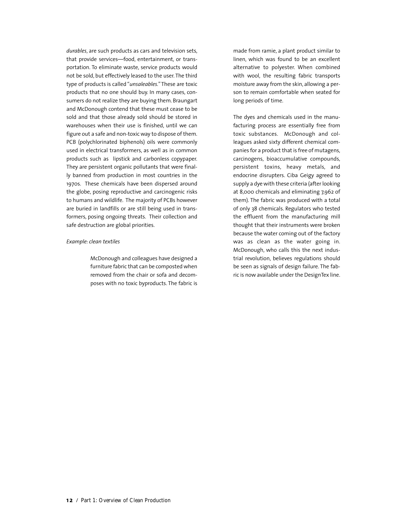*durables*, are such products as cars and television sets, that provide services—food, entertainment, or transportation. To eliminate waste, service products would not be sold, but effectively leased to the user. The third type of products is called "*unsaleables.*"These are toxic products that no one should buy. In many cases, consumers do not realize they are buying them. Braungart and McDonough contend that these must cease to be sold and that those already sold should be stored in warehouses when their use is finished, until we can figure out a safe and non-toxic way to dispose of them. PCB (polychlorinated biphenols) oils were commonly used in electrical transformers, as well as in common products such as lipstick and carbonless copypaper. They are persistent organic pollutants that were finally banned from production in most countries in the 1970s. These chemicals have been dispersed around the globe, posing reproductive and carcinogenic risks to humans and wildlife. The majority of PCBs however are buried in landfills or are still being used in transformers, posing ongoing threats. Their collection and safe destruction are global priorities.

#### *Example: clean textiles*

McDonough and colleagues have designed a furniture fabric that can be composted when removed from the chair or sofa and decomposes with no toxic byproducts. The fabric is made from ramie, a plant product similar to linen, which was found to be an excellent alternative to polyester. When combined with wool, the resulting fabric transports moisture away from the skin, allowing a person to remain comfortable when seated for long periods of time.

The dyes and chemicals used in the manufacturing process are essentially free from toxic substances. McDonough and colleagues asked sixty different chemical companies for a product that is free of mutagens, carcinogens, bioaccumulative compounds, persistent toxins, heavy metals, and endocrine disrupters. Ciba Geigy agreed to supply a dye with these criteria (after looking at 8,000 chemicals and eliminating 7,962 of them). The fabric was produced with a total of only 38 chemicals. Regulators who tested the effluent from the manufacturing mill thought that their instruments were broken because the water coming out of the factory was as clean as the water going in. McDonough, who calls this the next industrial revolution, believes regulations should be seen as signals of design failure. The fabric is now available under the DesignTex line.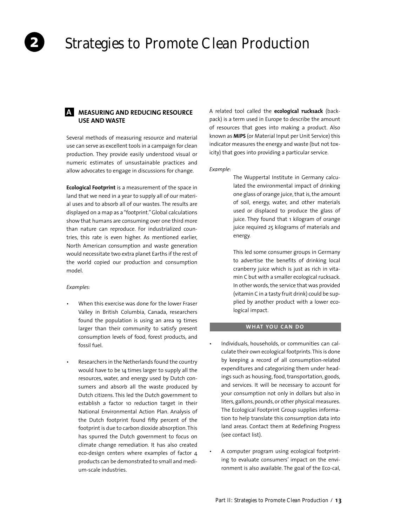## **2** Strategies to Promote Clean Production

## **A MEASURING AND REDUCING RESOURCE USE AND WASTE**

Several methods of measuring resource and material use can serve as excellent tools in a campaign for clean production. They provide easily understood visual or numeric estimates of unsustainable practices and allow advocates to engage in discussions for change.

**Ecological Footprint** is a measurement of the space in land that we need in a year to supply all of our material uses and to absorb all of our wastes. The results are displayed on a map as a "footprint." Global calculations show that humans are consuming over one third more than nature can reproduce. For industrialized countries, this rate is even higher. As mentioned earlier, North American consumption and waste generation would necessitate two extra planet Earths if the rest of the world copied our production and consumption model.

#### *Examples:*

- When this exercise was done for the lower Fraser Valley in British Columbia, Canada, researchers found the population is using an area 19 times larger than their community to satisfy present consumption levels of food, forest products, and fossil fuel.
- Researchers in the Netherlands found the country would have to be 14 times larger to supply all the resources, water, and energy used by Dutch consumers and absorb all the waste produced by Dutch citizens. This led the Dutch government to establish a factor 10 reduction target in their National Environmental Action Plan. Analysis of the Dutch footprint found fifty percent of the footprint is due to carbon dioxide absorption. This has spurred the Dutch government to focus on climate change remediation. It has also created eco-design centers where examples of factor 4 products can be demonstrated to small and medium-scale industries.

A related tool called the **ecological rucksack** (backpack) is a term used in Europe to describe the amount of resources that goes into making a product. Also known as **MIPS** (or Material Input per Unit Service) this indicator measures the energy and waste (but not toxicity) that goes into providing a particular service.

#### *Example*:

The Wuppertal Institute in Germany calculated the environmental impact of drinking one glass of orange juice, that is, the amount of soil, energy, water, and other materials used or displaced to produce the glass of juice. They found that 1 kilogram of orange juice required 25 kilograms of materials and energy.

This led some consumer groups in Germany to advertise the benefits of drinking local cranberry juice which is just as rich in vitamin C but with a smaller ecological rucksack. In other words, the service that was provided (vitamin C in a tasty fruit drink) could be supplied by another product with a lower ecological impact.

#### **WHAT YOU CAN DO**

- Individuals, households, or communities can calculate their own ecological footprints.This is done by keeping a record of all consumption-related expenditures and categorizing them under headings such as housing, food, transportation, goods, and services. It will be necessary to account for your consumption not only in dollars but also in liters, gallons, pounds, or other physical measures. The Ecological Footprint Group supplies information to help translate this consumption data into land areas. Contact them at Redefining Progress (see contact list).
- A computer program using ecological footprinting to evaluate consumers' impact on the environment is also available. The goal of the Eco-cal,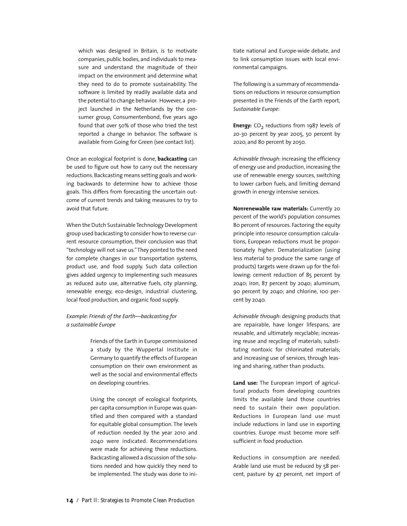which was designed in Britain, is to motivate companies, public bodies, and individuals to measure and understand the magnitude of their impact on the environment and determine what they need to do to promote sustainability. The software is limited by readily available data and the potential to change behavior. However, a project launched in the Netherlands by the consumer group, Consumentenbond, five years ago found that over 50% of those who tried the test reported a change in behavior. The software is available from Going for Green (see contact list).

Once an ecological footprint is done, **backcasting** can be used to figure out how to carry out the necessary reductions. Backcasting means setting goals and working backwards to determine how to achieve those goals. This differs from forecasting the uncertain outcome of current trends and taking measures to try to avoid that future.

When the Dutch Sustainable Technology Development group used backcasting to consider how to reverse current resource consumption, their conclusion was that "technology will not save us."They pointed to the need for complete changes in our transportation systems, product use, and food supply. Such data collection gives added urgency to implementing such measures as reduced auto use, alternative fuels, city planning, renewable energy, eco-design, industrial clustering, local food production, and organic food supply.

## *Example: Friends of the Earth—backcasting for a sustainable Europe*

Friends of the Earth in Europe commissioned a study by the Wuppertal Institute in Germany to quantify the effects of European consumption on their own environment as well as the social and environmental effects on developing countries.

Using the concept of ecological footprints, per capita consumption in Europe was quantified and then compared with a standard for equitable global consumption. The levels of reduction needed by the year 2010 and 2040 were indicated. Recommendations were made for achieving these reductions. Backcasting allowed a discussion of the solutions needed and how quickly they need to be implemented. The study was done to initiate national and Europe-wide debate, and to link consumption issues with local environmental campaigns.

The following is a summary of recommendations on reductions in resource consumption presented in the Friends of the Earth report, *Sustainable Europe*:

Energy: CO<sub>2</sub> reductions from 1987 levels of 20-30 percent by year 2005, 50 percent by 2020, and 80 percent by 2050.

*Achievable through*: increasing the efficiency of energy use and production, increasing the use of renewable energy sources, switching to lower carbon fuels, and limiting demand growth in energy intensive services.

**Nonrenewable raw materials:** Currently 20 percent of the world's population consumes 80 percent of resources. Factoring the equity principle into resource consumption calculations, European reductions must be proportionately higher. Dematerialization (using less material to produce the same range of products) targets were drawn up for the following: cement reduction of 85 percent by 2040; iron, 87 percent by 2040; aluminum, 90 percent by 2040; and chlorine, 100 percent by 2040.

*Achievable through*: designing products that are repairable, have longer lifespans, are reusable, and ultimately recyclable; increasing reuse and recycling of materials; substituting nontoxic for chlorinated materials; and increasing use of services, through leasing and sharing, rather than products.

**Land use:** The European import of agricultural products from developing countries limits the available land those countries need to sustain their own population. Reductions in European land use must include reductions in land use in exporting countries. Europe must become more selfsufficient in food production.

Reductions in consumption are needed. Arable land use must be reduced by 58 percent, pasture by 47 percent, net import of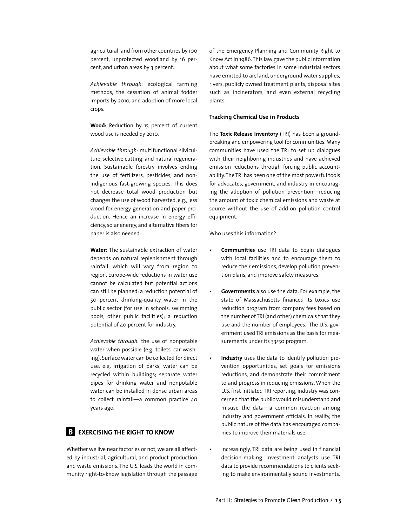agricultural land from other countries by 100 percent, unprotected woodland by 16 percent, and urban areas by 3 percent.

*Achievable through:* ecological farming methods, the cessation of animal fodder imports by 2010, and adoption of more local crops.

**Wood:** Reduction by 15 percent of current wood use is needed by 2010.

*Achievable through:* multifunctional silviculture, selective cutting, and natural regeneration. Sustainable forestry involves ending the use of fertilizers, pesticides, and nonindigenous fast-growing species. This does not decrease total wood production but changes the use of wood harvested, e.g., less wood for energy generation and paper production. Hence an increase in energy efficiency, solar energy, and alternative fibers for paper is also needed.

**Water:** The sustainable extraction of water depends on natural replenishment through rainfall, which will vary from region to region. Europe-wide reductions in water use cannot be calculated but potential actions can still be planned: a reduction potential of 50 percent drinking-quality water in the public sector (for use in schools, swimming pools, other public facilities); a reduction potential of 40 percent for industry.

*Achievable through:* the use of nonpotable water when possible (e.g. toilets, car washing). Surface water can be collected for direct use, e.g. irrigation of parks; water can be recycled within buildings; separate water pipes for drinking water and nonpotable water can be installed in dense urban areas to collect rainfall—a common practice 40 years ago.

## **B EXERCISING THE RIGHT TO KNOW**

Whether we live near factories or not, we are all affected by industrial, agricultural, and product production and waste emissions. The U.S. leads the world in community right-to-know legislation through the passage of the Emergency Planning and Community Right to Know Act in 1986. This law gave the public information about what some factories in some industrial sectors have emitted to air, land, underground water supplies, rivers, publicly owned treatment plants, disposal sites such as incinerators, and even external recycling plants.

#### **Tracking Chemical Use in Products**

The **Toxic Release Inventory** (TRI) has been a groundbreaking and empowering tool for communities. Many communities have used the TRI to set up dialogues with their neighboring industries and have achieved emission reductions through forcing public accountability.The TRI has been one of the most powerful tools for advocates, government, and industry in encouraging the adoption of pollution prevention—reducing the amount of toxic chemical emissions and waste at source without the use of add-on pollution control equipment.

Who uses this information?

- **Communities** use TRI data to begin dialogues with local facilities and to encourage them to reduce their emissions, develop pollution prevention plans, and improve safety measures.
- **Governments** also use the data. For example, the state of Massachusetts financed its toxics use reduction program from company fees based on the number of TRI (and other) chemicals that they use and the number of employees. The U.S. government used TRI emissions as the basis for measurements under its 33/50 program.
- **Industry** uses the data to identify pollution prevention opportunities, set goals for emissions reductions, and demonstrate their commitment to and progress in reducing emissions. When the U.S. first initiated TRI reporting, industry was concerned that the public would misunderstand and misuse the data—a common reaction among industry and government officials. In reality, the public nature of the data has encouraged companies to improve their materials use.
- Increasingly, TRI data are being used in financial decision-making. Investment analysts use TRI data to provide recommendations to clients seeking to make environmentally sound investments.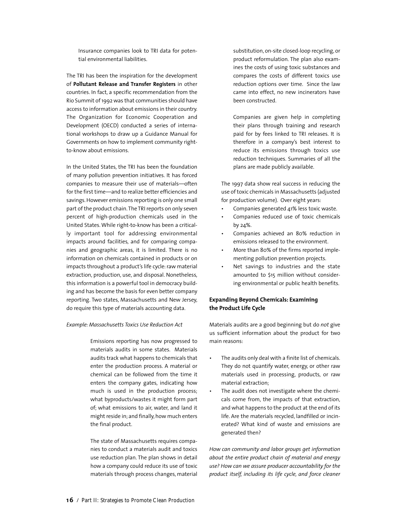Insurance companies look to TRI data for potential environmental liabilities.

The TRI has been the inspiration for the development of **Pollutant Release and Transfer Registers** in other countries. In fact, a specific recommendation from the Rio Summit of 1992 was that communities should have access to information about emissions in their country. The Organization for Economic Cooperation and Development (OECD) conducted a series of international workshops to draw up a Guidance Manual for Governments on how to implement community rightto-know about emissions.

In the United States, the TRI has been the foundation of many pollution prevention initiatives. It has forced companies to measure their use of materials—often for the first time—and to realize better efficiencies and savings. However emissions reporting is only one small part of the product chain.The TRI reports on only seven percent of high-production chemicals used in the United States. While right-to-know has been a critically important tool for addressing environmental impacts around facilities, and for comparing companies and geographic areas, it is limited. There is no information on chemicals contained in products or on impacts throughout a product's life cycle: raw material extraction, production, use, and disposal. Nonetheless, this information is a powerful tool in democracy building and has become the basis for even better company reporting. Two states, Massachusetts and New Jersey, do require this type of materials accounting data.

#### *Example: Massachusetts Toxics Use Reduction Act*

Emissions reporting has now progressed to materials audits in some states. Materials audits track what happens to chemicals that enter the production process. A material or chemical can be followed from the time it enters the company gates, indicating how much is used in the production process; what byproducts/wastes it might form part of; what emissions to air, water, and land it might reside in; and finally, how much enters the final product.

The state of Massachusetts requires companies to conduct a materials audit and toxics use reduction plan. The plan shows in detail how a company could reduce its use of toxic materials through process changes, material

substitution, on-site closed-loop recycling, or product reformulation. The plan also examines the costs of using toxic substances and compares the costs of different toxics use reduction options over time. Since the law came into effect, no new incinerators have been constructed.

Companies are given help in completing their plans through training and research paid for by fees linked to TRI releases. It is therefore in a company's best interest to reduce its emissions through toxics use reduction techniques. Summaries of all the plans are made publicly available.

The 1997 data show real success in reducing the use of toxic chemicals in Massachusetts (adjusted for production volume). Over eight years:

- Companies generated 41% less toxic waste.
- Companies reduced use of toxic chemicals by 24%.
- Companies achieved an 80% reduction in emissions released to the environment.
- More than 80% of the firms reported implementing pollution prevention projects.
- Net savings to industries and the state amounted to \$15 million without considering environmental or public health benefits.

## **Expanding Beyond Chemicals: Examining the Product Life Cycle**

Materials audits are a good beginning but do *not* give us sufficient information about the product for two main reasons:

- The audits only deal with a finite list of chemicals. They do not quantify water, energy, or other raw materials used in processing, products, or raw material extraction;
- The audit does not investigate where the chemicals come from, the impacts of that extraction, and what happens to the product at the end of its life. Are the materials recycled, landfilled or incinerated? What kind of waste and emissions are generated then?

*How can community and labor groups get information about the entire product chain of material and energy use? How can we assure producer accountability for the* product itself, including its life cycle, and force cleaner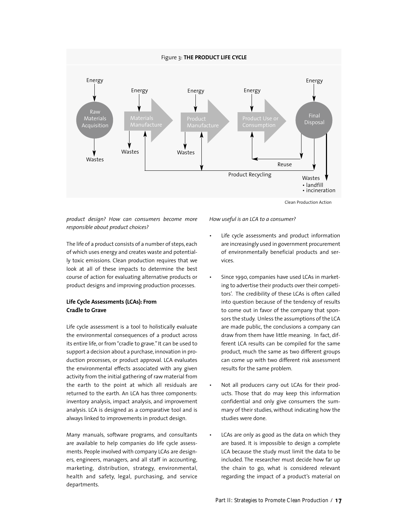

## *product design? How can consumers become more responsible about product choices?*

The life of a product consists of a number of steps, each of which uses energy and creates waste and potentially toxic emissions. Clean production requires that we look at all of these impacts to determine the best course of action for evaluating alternative products or product designs and improving production processes.

## **Life Cycle Assessments (LCAs): From Cradle to Grave**

Life cycle assessment is a tool to holistically evaluate the environmental consequences of a product across its entire life, or from "cradle to grave." It can be used to support a decision about a purchase, innovation in production processes, or product approval. LCA evaluates the environmental effects associated with any given activity from the initial gathering of raw material from the earth to the point at which all residuals are returned to the earth. An LCA has three components: inventory analysis, impact analysis, and improvement analysis. LCA is designed as a comparative tool and is always linked to improvements in product design.

Many manuals, software programs, and consultants are available to help companies do life cycle assessments. People involved with company LCAs are designers, engineers, managers, and all staff in accounting, marketing, distribution, strategy, environmental, health and safety, legal, purchasing, and service departments.

*How useful is an LCA to a consumer?*

- Life cycle assessments and product information are increasingly used in government procurement of environmentally beneficial products and services.
- Since 1990, companies have used LCAs in marketing to advertise their products over their competitors'. The credibility of these LCAs is often called into question because of the tendency of results to come out in favor of the company that sponsors the study. Unless the assumptions of the LCA are made public, the conclusions a company can draw from them have little meaning. In fact, different LCA results can be compiled for the same product, much the same as two different groups can come up with two different risk assessment results for the same problem.
- Not all producers carry out LCAs for their products. Those that do may keep this information confidential and only give consumers the summary of their studies, without indicating how the studies were done.
- LCAs are only as good as the data on which they are based. It is impossible to design a complete LCA because the study must limit the data to be included. The researcher must decide how far up the chain to go, what is considered relevant regarding the impact of a product's material on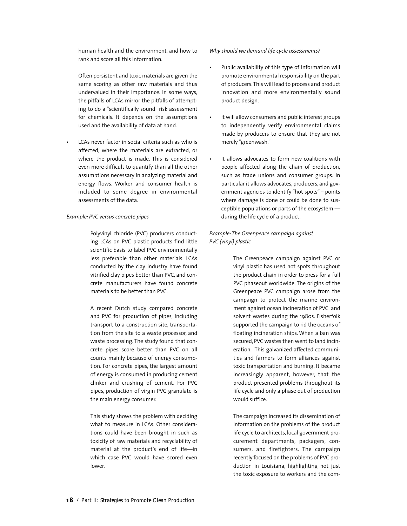human health and the environment, and how to rank and score all this information.

Often persistent and toxic materials are given the same scoring as other raw materials and thus undervalued in their importance. In some ways, the pitfalls of LCAs mirror the pitfalls of attempting to do a "scientifically sound" risk assessment for chemicals. It depends on the assumptions used and the availability of data at hand.

LCAs never factor in social criteria such as who is affected, where the materials are extracted, or where the product is made. This is considered even more difficult to quantify than all the other assumptions necessary in analyzing material and energy flows. Worker and consumer health is included to some degree in environmental assessments of the data.

#### *Example: PVC versus concrete pipes*

Polyvinyl chloride (PVC) producers conducting LCAs on PVC plastic products find little scientific basis to label PVC environmentally less preferable than other materials. LCAs conducted by the clay industry have found vitrified clay pipes better than PVC, and concrete manufacturers have found concrete materials to be better than PVC.

A recent Dutch study compared concrete and PVC for production of pipes, including transport to a construction site, transportation from the site to a waste processor, and waste processing. The study found that concrete pipes score better than PVC on all counts mainly because of energy consumption. For concrete pipes, the largest amount of energy is consumed in producing cement clinker and crushing of cement. For PVC pipes, production of virgin PVC granulate is the main energy consumer.

This study shows the problem with deciding what to measure in LCAs. Other considerations could have been brought in such as toxicity of raw materials and recyclability of material at the product's end of life—in which case PVC would have scored even lower.

#### *Why should we demand life cycle assessments?*

- Public availability of this type of information will promote environmental responsibility on the part of producers. This will lead to process and product innovation and more environmentally sound product design.
- It will allow consumers and public interest groups to independently verify environmental claims made by producers to ensure that they are not merely "greenwash."
- It allows advocates to form new coalitions with people affected along the chain of production, such as trade unions and consumer groups. In particular it allows advocates, producers, and government agencies to identify "hot spots" – points where damage is done or could be done to susceptible populations or parts of the ecosystem during the life cycle of a product.

## *Example: The Greenpeace campaign against PVC (vinyl) plastic*

The Greenpeace campaign against PVC or vinyl plastic has used hot spots throughout the product chain in order to press for a full PVC phaseout worldwide. The origins of the Greenpeace PVC campaign arose from the campaign to protect the marine environment against ocean incineration of PVC and solvent wastes during the 1980s. Fisherfolk supported the campaign to rid the oceans of floating incineration ships. When a ban was secured, PVC wastes then went to land incineration. This galvanized affected communities and farmers to form alliances against toxic transportation and burning. It became increasingly apparent, however, that the product presented problems throughout its life cycle and only a phase out of production would suffice.

The campaign increased its dissemination of information on the problems of the product life cycle to architects, local government procurement departments, packagers, consumers, and firefighters. The campaign recently focused on the problems of PVC production in Louisiana, highlighting not just the toxic exposure to workers and the com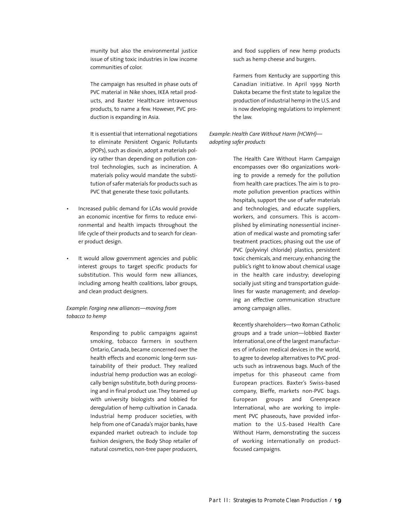munity but also the environmental justice issue of siting toxic industries in low income communities of color.

The campaign has resulted in phase outs of PVC material in Nike shoes, IKEA retail products,and Baxter Healthcare intravenous products, to name a few. However, PVC production is expanding in Asia.

It is essential that international negotiations to eliminate Persistent Organic Pollutants (POPs), such as dioxin, adopt a materials policy rather than depending on pollution control technologies, such as incineration. A materials policy would mandate the substitution of safer materials for products such as PVC that generate these toxic pollutants.

- Increased public demand for LCAs would provide an economic incentive for firms to reduce environmental and health impacts throughout the life cycle of their products and to search for cleaner product design.
- It would allow government agencies and public interest groups to target specific products for substitution. This would form new alliances, including among health coalitions, labor groups, and clean product designers.

## *Example: Forging new alliances—moving from tobacco to hemp*

Responding to public campaigns against smoking, tobacco farmers in southern Ontario, Canada, became concerned over the health effects and economic long-term sustainability of their product. They realized industrial hemp production was an ecologically benign substitute, both during processing and in final product use. They teamed up with university biologists and lobbied for deregulation of hemp cultivation in Canada. Industrial hemp producer societies, with help from one of Canada's major banks, have expanded market outreach to include top fashion designers, the Body Shop retailer of natural cosmetics, non-tree paper producers,

and food suppliers of new hemp products such as hemp cheese and burgers.

Farmers from Kentucky are supporting this Canadian initiative. In April 1999 North Dakota became the first state to legalize the production of industrial hemp in the U.S. and is now developing regulations to implement the law.

## *Example: Health Care Without Harm (HCWH) adopting safer products*

The Health Care Without Harm Campaign encompasses over 180 organizations working to provide a remedy for the pollution from health care practices. The aim is to promote pollution prevention practices within hospitals, support the use of safer materials and technologies, and educate suppliers, workers, and consumers. This is accomplished by eliminating nonessential incineration of medical waste and promoting safer treatment practices; phasing out the use of PVC (polyvinyl chloride) plastics, persistent toxic chemicals,and mercury; enhancing the public's right to know about chemical usage in the health care industry; developing socially just siting and transportation guidelines for waste management; and developing an effective communication structure among campaign allies.

Recently shareholders—two Roman Catholic groups and a trade union—lobbied Baxter International,one of the largest manufacturers of infusion medical devices in the world, to agree to develop alternatives to PVC products such as intravenous bags. Much of the impetus for this phaseout came from European practices. Baxter's Swiss-based company, Bieffe, markets non-PVC bags. European groups and Greenpeace International, who are working to implement PVC phaseouts, have provided information to the U.S.-based Health Care Without Harm, demonstrating the success of working internationally on productfocused campaigns.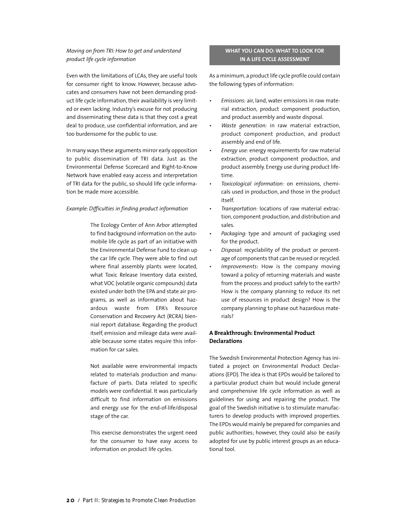## *Moving on from TRI: How to get and understand product life cycle information*

Even with the limitations of LCAs, they are useful tools for consumer right to know. However, because advocates and consumers have not been demanding product life cycle information, their availability is very limited or even lacking. Industry's excuse for not producing and disseminating these data is that they cost a great deal to produce, use confidential information, and are too burdensome for the public to use.

In many ways these arguments mirror early opposition to public dissemination of TRI data. Just as the Environmental Defense Scorecard and Right-to-Know Network have enabled easy access and interpretation of TRI data for the public, so should life cycle information be made more accessible.

## *Example: Difficulties in finding product information*

The Ecology Center of Ann Arbor attempted to find background information on the automobile life cycle as part of an initiative with the Environmental Defense Fund to clean up the car life cycle. They were able to find out where final assembly plants were located, what Toxic Release Inventory data existed, what VOC (volatile organic compounds) data existed under both the EPA and state air programs, as well as information about hazardous waste from EPA's Resource Conservation and Recovery Act (RCRA) biennial report database. Regarding the product itself, emission and mileage data were available because some states require this information for car sales.

Not available were environmental impacts related to materials production and manufacture of parts. Data related to specific models were confidential. It was particularly difficult to find information on emissions and energy use for the end-of-life/disposal stage of the car.

This exercise demonstrates the urgent need for the consumer to have easy access to information on product life cycles.

## **WHAT YOU CAN DO: WHAT TO LOOK FOR IN A LIFE CYCLE ASSESSMENT**

As a minimum, a product life cycle profile could contain the following types of information:

- *Emissions:* air, land, water emissions in raw material extraction, product component production, and product assembly and waste disposal.
- *Waste generation:* in raw material extraction, product component production, and product assembly and end of life.
- *Energy use:* energy requirements for raw material extraction, product component production, and product assembly. Energy use during product lifetime.
- *Toxicological information:* on emissions, chemicals used in production, and those in the product itself.
- *Transportation:* locations of raw material extraction, component production, and distribution and sales.
- *Packaging:* type and amount of packaging used for the product.
- *Disposal:* recyclability of the product or percentage of components that can be reused or recycled.
- *Improvements:* How is the company moving toward a policy of returning materials and waste from the process and product safely to the earth? How is the company planning to reduce its net use of resources in product design? How is the company planning to phase out hazardous materials?

## **A Breakthrough: Environmental Product Declarations**

The Swedish Environmental Protection Agency has initiated a project on Environmental Product Declarations (EPD). The idea is that EPDs would be tailored to a particular product chain but would include general and comprehensive life cycle information as well as guidelines for using and repairing the product. The goal of the Swedish initiative is to stimulate manufacturers to develop products with improved properties. The EPDs would mainly be prepared for companies and public authorities; however, they could also be easily adopted for use by public interest groups as an educational tool.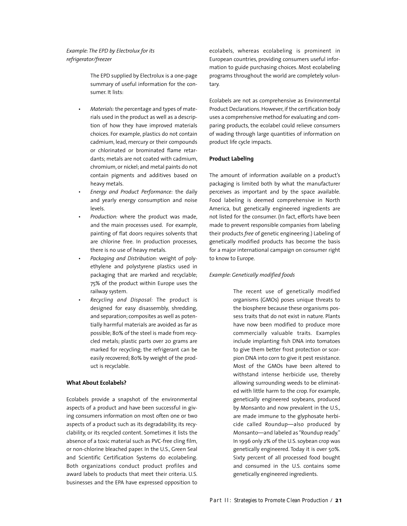## *Example: The EPD by Electrolux for its refrigerator/freezer*

The EPD supplied by Electrolux is a one-page summary of useful information for the consumer. It lists:

- *Materials:* the percentage and types of materials used in the product as well as a description of how they have improved materials choices. For example, plastics do not contain cadmium, lead, mercury or their compounds or chlorinated or brominated flame retardants; metals are not coated with cadmium, chromium, or nickel; and metal paints do not contain pigments and additives based on heavy metals.
- *Energy and Product Performance:* the daily and yearly energy consumption and noise levels.
- *Production:* where the product was made, and the main processes used. For example, painting of flat doors requires solvents that are chlorine free. In production processes, there is no use of heavy metals.
- *Packaging and Distribution:* weight of polyethylene and polystyrene plastics used in packaging that are marked and recyclable; 75% of the product within Europe uses the railway system.
- *Recycling and Disposal:* The product is designed for easy disassembly, shredding, and separation; composites as well as potentially harmful materials are avoided as far as possible; 80% of the steel is made from recycled metals; plastic parts over 20 grams are marked for recycling; the refrigerant can be easily recovered; 80% by weight of the product is recyclable.

## **What About Ecolabels?**

Ecolabels provide a snapshot of the environmental aspects of a product and have been successful in giving consumers information on most often one or two aspects of a product such as its degradability, its recyclability, or its recycled content. Sometimes it lists the absence of a toxic material such as PVC-free cling film, or non-chlorine bleached paper. In the U.S., Green Seal and Scientific Certification Systems do ecolabeling. Both organizations conduct product profiles and award labels to products that meet their criteria. U.S. businesses and the EPA have expressed opposition to

ecolabels, whereas ecolabeling is prominent in European countries, providing consumers useful information to guide purchasing choices. Most ecolabeling programs throughout the world are completely voluntary.

Ecolabels are not as comprehensive as Environmental Product Declarations. However, if the certification body uses a comprehensive method for evaluating and comparing products, the ecolabel could relieve consumers of wading through large quantities of information on product life cycle impacts.

## **Product Labeling**

The amount of information available on a product's packaging is limited both by what the manufacturer perceives as important and by the space available. Food labeling is deemed comprehensive in North America, but genetically engineered ingredients are not listed for the consumer. (In fact, efforts have been made to prevent responsible companies from labeling their products *free* of genetic engineering.) Labeling of genetically modified products has become the basis for a major international campaign on consumer right to know to Europe.

## *Example: Genetically modified foods*

The recent use of genetically modified organisms (GMOs) poses unique threats to the biosphere because these organisms possess traits that do not exist in nature. Plants have now been modified to produce more commercially valuable traits. Examples include implanting fish DNA into tomatoes to give them better frost protection or scorpion DNA into corn to give it pest resistance. Most of the GMOs have been altered to withstand intense herbicide use, thereby allowing surrounding weeds to be eliminated with little harm to the crop. For example, genetically engineered soybeans, produced by Monsanto and now prevalent in the U.S., are made immune to the glyphosate herbicide called Roundup—also produced by Monsanto—and labeled as "Roundup ready." In 1996 only 2% of the U.S. soybean crop was genetically engineered. Today it is over 50%. Sixty percent of all processed food bought and consumed in the U.S. contains some genetically engineered ingredients.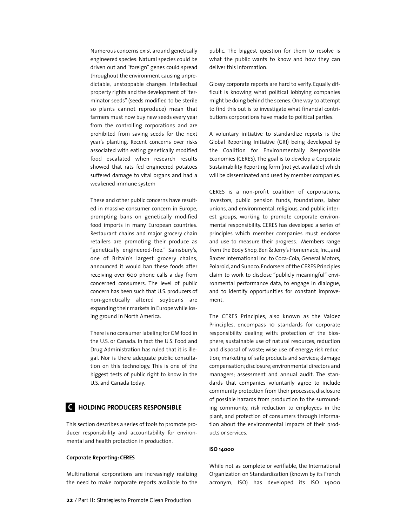Numerous concerns exist around genetically engineered species: Natural species could be driven out and "foreign" genes could spread throughout the environment causing unpredictable, unstoppable changes. Intellectual property rights and the development of "terminator seeds" (seeds modified to be sterile so plants cannot reproduce) mean that farmers must now buy new seeds every year from the controlling corporations and are prohibited from saving seeds for the next year's planting. Recent concerns over risks associated with eating genetically modified food escalated when research results showed that rats fed engineered potatoes suffered damage to vital organs and had a weakened immune system

These and other public concerns have resulted in massive consumer concern in Europe, prompting bans on genetically modified food imports in many European countries. Restaurant chains and major grocery chain retailers are promoting their produce as "genetically engineered-free." Sainsbury's, one of Britain's largest grocery chains, announced it would ban these foods after receiving over 600 phone calls a day from concerned consumers. The level of public concern has been such that U.S. producers of non-genetically altered soybeans are expanding their markets in Europe while losing ground in North America.

There is no consumer labeling for GM food in the U.S. or Canada. In fact the U.S. Food and Drug Administration has ruled that it is illegal. Nor is there adequate public consultation on this technology. This is one of the biggest tests of public right to know in the U.S. and Canada today.

## **C HOLDING PRODUCERS RESPONSIBLE**

This section describes a series of tools to promote producer responsibility and accountability for environmental and health protection in production.

#### **Corporate Reporting: CERES**

Multinational corporations are increasingly realizing the need to make corporate reports available to the public. The biggest question for them to resolve is what the public wants to know and how they can deliver this information.

Glossy corporate reports are hard to verify. Equally difficult is knowing what political lobbying companies might be doing behind the scenes. One way to attempt to find this out is to investigate what financial contributions corporations have made to political parties.

A voluntary initiative to standardize reports is the Global Reporting Initiative (GRI) being developed by the Coalition for Environmentally Responsible Economies (CERES). The goal is to develop a Corporate Sustainability Reporting form (not yet available) which will be disseminated and used by member companies.

CERES is a non-profit coalition of corporations, investors, public pension funds, foundations, labor unions, and environmental, religious, and public interest groups, working to promote corporate environmental responsibility. CERES has developed a series of principles which member companies must endorse and use to measure their progress. Members range from the Body Shop, Ben & Jerry's Homemade, Inc., and Baxter International Inc. to Coca-Cola, General Motors, Polaroid, and Sunoco. Endorsers of the CERES Principles claim to work to disclose "publicly meaningful" environmental performance data, to engage in dialogue, and to identify opportunities for constant improvement.

The CERES Principles, also known as the Valdez Principles, encompass 10 standards for corporate responsibility dealing with: protection of the biosphere; sustainable use of natural resources; reduction and disposal of waste; wise use of energy; risk reduction; marketing of safe products and services; damage compensation; disclosure; environmental directors and managers; assessment and annual audit. The standards that companies voluntarily agree to include community protection from their processes, disclosure of possible hazards from production to the surrounding community, risk reduction to employees in the plant, and protection of consumers through information about the environmental impacts of their products or services.

#### **ISO 14000**

While not as complete or verifiable, the International Organization on Standardization (known by its French acronym, ISO) has developed its ISO 14000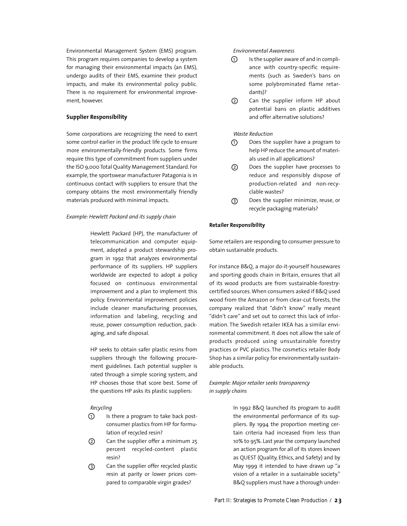Environmental Management System (EMS) program. This program requires companies to develop a system for managing their environmental impacts (an EMS), undergo audits of their EMS, examine their product impacts, and make its environmental policy public. There is no requirement for environmental improvement, however.

## **Supplier Responsibility**

Some corporations are recognizing the need to exert some control earlier in the product life cycle to ensure more environmentally-friendly products. Some firms require this type of commitment from suppliers under the ISO 9,000 Total Quality Management Standard. For example, the sportswear manufacturer Patagonia is in continuous contact with suppliers to ensure that the company obtains the most environmentally friendly materials produced with minimal impacts.

## *Example: Hewlett Packard and its supply chain*

Hewlett Packard (HP), the manufacturer of telecommunication and computer equipment, adopted a product stewardship program in 1992 that analyzes environmental performance of its suppliers. HP suppliers worldwide are expected to adopt a policy focused on continuous environmental improvement and a plan to implement this policy. Environmental improvement policies include cleaner manufacturing processes, information and labeling, recycling and reuse, power consumption reduction, packaging, and safe disposal.

HP seeks to obtain safer plastic resins from suppliers through the following procurement guidelines. Each potential supplier is rated through a simple scoring system, and HP chooses those that score best. Some of the questions HP asks its plastic suppliers:

## *Recycling*

- $\Omega$  Is there a program to take back postconsumer plastics from HP for formulation of recycled resin?
- 2 Can the supplier offer a minimum 25 percent recycled-content plastic resin?
- 3 Can the supplier offer recycled plastic resin at parity or lower prices compared to comparable virgin grades?

#### *Environmental Awareness*

- $\Omega$  Is the supplier aware of and in compliance with country-specific requirements (such as Sweden's bans on some polybrominated flame retardants)?
- 2 Can the supplier inform HP about potential bans on plastic additives and offer alternative solutions?

## *Waste Reduction*

- 1 Does the supplier have a program to help HP reduce the amount of materials used in all applications?
- 2 Does the supplier have processes to reduce and responsibly dispose of production-related and non-recyclable wastes?
- 3 Does the supplier minimize, reuse, or recycle packaging materials?

#### **Retailer Responsibility**

Some retailers are responding to consumer pressure to obtain sustainable products.

For instance B&Q, a major do-it-yourself housewares and sporting goods chain in Britain, ensures that all of its wood products are from sustainable-forestrycertified sources. When consumers asked if B&Q used wood from the Amazon or from clear-cut forests, the company realized that "didn't know" really meant "didn't care" and set out to correct this lack of information. The Swedish retailer IKEA has a similar environmental commitment. It does not allow the sale of products produced using unsustainable forestry practices or PVC plastics. The cosmetics retailer Body Shop has a similar policy for environmentally sustainable products.

## *Example: Major retailer seeks transparency in supply chains*

In 1992 B&Q launched its program to audit the environmental performance of its suppliers. By 1994 the proportion meeting certain criteria had increased from less than 10% to 95%. Last year the company launched an action program for all of its stores known as QUEST (Quality, Ethics, and Safety) and by May 1999 it intended to have drawn up "a vision of a retailer in a sustainable society." B&Q suppliers must have a thorough under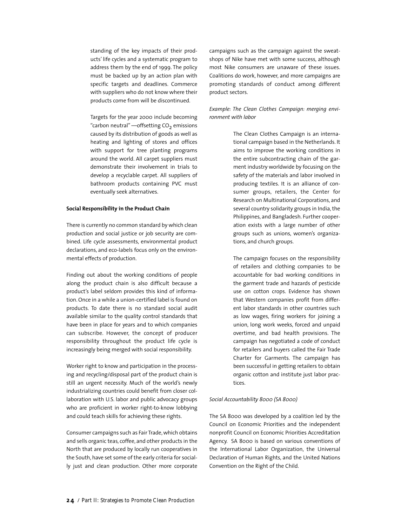standing of the key impacts of their products' life cycles and a systematic program to address them by the end of 1999. The policy must be backed up by an action plan with specific targets and deadlines. Commerce with suppliers who do not know where their products come from will be discontinued.

Targets for the year 2000 include becoming "carbon neutral" - offsetting CO<sub>2</sub> emissions caused by its distribution of goods as well as heating and lighting of stores and offices with support for tree planting programs around the world. All carpet suppliers must demonstrate their involvement in trials to develop a recyclable carpet. All suppliers of bathroom products containing PVC must eventually seek alternatives.

#### **Social Responsibility in the Product Chain**

There is currently no common standard by which clean production and social justice or job security are combined. Life cycle assessments, environmental product declarations, and eco-labels focus only on the environmental effects of production.

Finding out about the working conditions of people along the product chain is also difficult because a product's label seldom provides this kind of information. Once in a while a union-certified label is found on products. To date there is no standard social audit available similar to the quality control standards that have been in place for years and to which companies can subscribe. However, the concept of producer responsibility throughout the product life cycle is increasingly being merged with social responsibility.

Worker right to know and participation in the processing and recycling/disposal part of the product chain is still an urgent necessity. Much of the world's newly industrializing countries could benefit from closer collaboration with U.S. labor and public advocacy groups who are proficient in worker right-to-know lobbying and could teach skills for achieving these rights.

Consumer campaigns such as Fair Trade, which obtains and sells organic teas, coffee, and other products in the North that are produced by locally run cooperatives in the South, have set some of the early criteria for socially just and clean production. Other more corporate campaigns such as the campaign against the sweatshops of Nike have met with some success, although most Nike consumers are unaware of these issues. Coalitions do work, however, and more campaigns are promoting standards of conduct among different product sectors.

## *Example: The Clean Clothes Campaign: merging environment with labor*

The Clean Clothes Campaign is an international campaign based in the Netherlands. It aims to improve the working conditions in the entire subcontracting chain of the garment industry worldwide by focusing on the safety of the materials and labor involved in producing textiles. It is an alliance of consumer groups, retailers, the Center for Research on Multinational Corporations, and several country solidarity groups in India, the Philippines, and Bangladesh. Further cooperation exists with a large number of other groups such as unions, women's organizations, and church groups.

The campaign focuses on the responsibility of retailers and clothing companies to be accountable for bad working conditions in the garment trade and hazards of pesticide use on cotton crops. Evidence has shown that Western companies profit from different labor standards in other countries such as low wages, firing workers for joining a union, long work weeks, forced and unpaid overtime, and bad health provisions. The campaign has negotiated a code of conduct for retailers and buyers called the Fair Trade Charter for Garments. The campaign has been successful in getting retailers to obtain organic cotton and institute just labor practices.

#### *Social Accountability 8000 (SA 8000)*

The SA 8000 was developed by a coalition led by the Council on Economic Priorities and the independent nonprofit Council on Economic Priorities Accreditation Agency. SA 8000 is based on various conventions of the International Labor Organization, the Universal Declaration of Human Rights, and the United Nations Convention on the Right of the Child.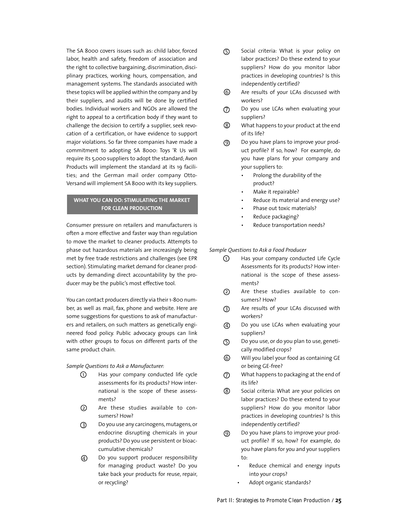The SA 8000 covers issues such as: child labor, forced labor, health and safety, freedom of association and the right to collective bargaining, discrimination, disciplinary practices, working hours, compensation, and management systems.The standards associated with these topics will be applied within the company and by their suppliers, and audits will be done by certified bodies.Individual workers and NGOs are allowed the right to appeal to a certification body if they want to challenge the decision to certify a supplier, seek revocation of a certification, or have evidence to support major violations.So far three companies have made a commitment to adopting SA 8000: Toys 'R Us will require its 5,000 suppliers to adopt the standard; Avon Products will implement the standard at its 19 facilities; and the German mail order company Otto-Versand will implement SA 8000 with its key suppliers.

## **WHAT YOU CAN DO: STIMULATING THE MARKET FOR CLEAN PRODUCTION**

Consumer pressure on retailers and manufacturers is often a more effective and faster way than regulation to move the market to cleaner products.Attempts to phase out hazardous materials are increasingly being met by free trade restrictions and challenges (see EPR section). Stimulating market demand for cleaner products by demanding direct accountability by the producer may be the public's most effective tool.

You can contact producers directly via their 1-800 number, as well as mail, fax, phone and website.Here are some suggestions for questions to ask of manufacturers and retailers, on such matters as genetically engineered food policy. Public advocacy groups can link with other groups to focus on different parts of the same product chain.

*Sample Questions to Ask a Manufacturer:*

- 1 Has your company conducted life cycle assessments for its products? How international is the scope of these assessments?
- 2 Are these studies available to consumers? How?
- 3 Do you use any carcinogens, mutagens, or endocrine disrupting chemicals in your products? Do you use persistent or bioaccumulative chemicals?
- 4 Do you support producer responsibility for managing product waste? Do you take back your products for reuse, repair, or recycling?
- 5 Social criteria: What is your policy on labor practices? Do these extend to your suppliers? How do you monitor labor practices in developing countries? Is this independently certified?
- 6 Are results of your LCAs discussed with workers?
- 7 Do you use LCAs when evaluating your suppliers?
- 8 What happens to your product at the end of its life?
- 9 Do you have plans to improve your product profile? If so, how? For example, do you have plans for your company and your suppliers to:
	- Prolong the durability of the product?
	- Make it repairable?
	- Reduce its material and energy use?
	- Phase out toxic materials?
	- Reduce packaging?
	- Reduce transportation needs?

## *Sample Questions to Ask a Food Producer*

- 1 Has your company conducted Life Cycle Assessments for its products? How international is the scope of these assessments?
- 2 Are these studies available to consumers? How?
- 3 Are results of your LCAs discussed with workers?
- (4) Do you use LCAs when evaluating your suppliers?
- 5 Do you use, or do you plan to use, genetically modified crops?
- 6 Will you label your food as containing GE or being GE-free?
- $(7)$  What happens to packaging at the end of its life?
- 8 Social criteria: What are your policies on labor practices? Do these extend to your suppliers? How do you monitor labor practices in developing countries? Is this independently certified?
- 9 Do you have plans to improve your product profile? If so, how? For example, do you have plans for you and your suppliers to:
	- Reduce chemical and energy inputs into your crops?
	- Adopt organic standards?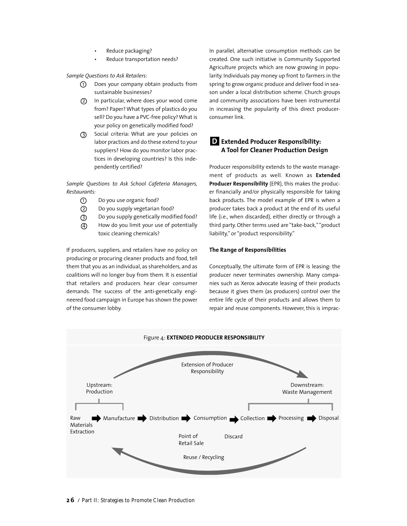- Reduce packaging?
- Reduce transportation needs?

*Sample Questions to Ask Retailers:*

- 1 Does your company obtain products from sustainable businesses?
- 2 In particular, where does your wood come from? Paper? What types of plastics do you sell? Do you have a PVC-free policy? What is your policy on genetically modified food?
- 3 Social criteria: What are your policies on labor practices and do these extend to your suppliers? How do you monitor labor practices in developing countries? Is this independently certified?

*Sample Questions to Ask School Cafeteria Managers, Restaurants:*

- 1 Do you use organic food?
- 2 Do you supply vegetarian food?
- 3 Do you supply genetically modified food?
- 4 How do you limit your use of potentially toxic cleaning chemicals?

If producers, suppliers, and retailers have no policy on producing or procuring cleaner products and food, tell them that you as an individual, as shareholders, and as coalitions will no longer buy from them. It is essential that retailers and producers hear clear consumer demands. The success of the anti-genetically engineered food campaign in Europe has shown the power of the consumer lobby.

In parallel, alternative consumption methods can be created. One such initiative is Community Supported Agriculture projects which are now growing in popularity. Individuals pay money up front to farmers in the spring to grow organic produce and deliver food in season under a local distribution scheme. Church groups and community associations have been instrumental in increasing the popularity of this direct producerconsumer link.

## **D Extended Producer Responsibility: A Tool for Cleaner Production Design**

Producer responsibility extends to the waste management of products as well. Known as **Extended Producer Responsibility** (EPR), this makes the producer financially and/or physically responsible for taking back products. The model example of EPR is when a producer takes back a product at the end of its useful life (i.e., when discarded), either directly or through a third party. Other terms used are "take-back,""product liability," or "product responsibility."

## **The Range of Responsibilities**

Conceptually, the ultimate form of EPR is leasing: the producer never terminates ownership. Many companies such as Xerox advocate leasing of their products because it gives them (as producers) control over the entire life cycle of their products and allows them to repair and reuse components. However, this is imprac-

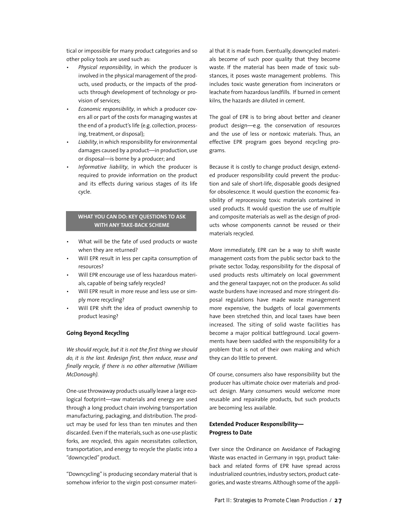tical or impossible for many product categories and so other policy tools are used such as:

- *Physical responsibility*, in which the producer is involved in the physical management of the products, used products, or the impacts of the products through development of technology or provision of services;
- *Economic responsibility*, in which a producer covers all or part of the costs for managing wastes at the end of a product's life (e.g. collection, processing, treatment, or disposal);
- *Liability*, in which responsibility for environmental damages caused by a product—in production, use or disposal—is borne by a producer; and
- *Informative liability*, in which the producer is required to provide information on the product and its effects during various stages of its life cycle.

## **WHAT YOU CAN DO: KEY QUESTIONS TO ASK WITH ANY TAKE-BACK SCHEME**

- What will be the fate of used products or waste when they are returned?
- Will EPR result in less per capita consumption of resources?
- Will EPR encourage use of less hazardous materials, capable of being safely recycled?
- Will EPR result in more reuse and less use or simply more recycling?
- Will EPR shift the idea of product ownership to product leasing?

## **Going Beyond Recycling**

*We should recycle, but it is not the first thing we should do, it is the last. Redesign first, then reduce, reuse and finally recycle, if there is no other alternative (William McDonough).*

One-use throwaway products usually leave a large ecological footprint—raw materials and energy are used through a long product chain involving transportation manufacturing, packaging, and distribution. The product may be used for less than ten minutes and then discarded. Even if the materials, such as one-use plastic forks, are recycled, this again necessitates collection, transportation, and energy to recycle the plastic into a "downcycled" product.

"Downcycling" is producing secondary material that is somehow inferior to the virgin post-consumer material that it is made from. Eventually, downcycled materials become of such poor quality that they become waste. If the material has been made of toxic substances, it poses waste management problems. This includes toxic waste generation from incinerators or leachate from hazardous landfills. If burned in cement kilns, the hazards are diluted in cement.

The goal of EPR is to bring about better and cleaner product design—e.g. the conservation of resources and the use of less or nontoxic materials. Thus, an effective EPR program goes beyond recycling programs.

Because it is costly to change product design, extended producer responsibility could prevent the production and sale of short-life, disposable goods designed for obsolescence. It would question the economic feasibility of reprocessing toxic materials contained in used products. It would question the use of multiple and composite materials as well as the design of products whose components cannot be reused or their materials recycled.

More immediately, EPR can be a way to shift waste management costs from the public sector back to the private sector. Today, responsibility for the disposal of used products rests ultimately on local government and the general taxpayer, not on the producer. As solid waste burdens have increased and more stringent disposal regulations have made waste management more expensive, the budgets of local governments have been stretched thin, and local taxes have been increased. The siting of solid waste facilities has become a major political battleground. Local governments have been saddled with the responsibility for a problem that is not of their own making and which they can do little to prevent.

Of course, consumers also have responsibility but the producer has ultimate choice over materials and product design. Many consumers would welcome more reusable and repairable products, but such products are becoming less available.

## **Extended Producer Responsibility— Progress to Date**

Ever since the Ordinance on Avoidance of Packaging Waste was enacted in Germany in 1991, product takeback and related forms of EPR have spread across industrialized countries, industry sectors, product categories, and waste streams. Although some of the appli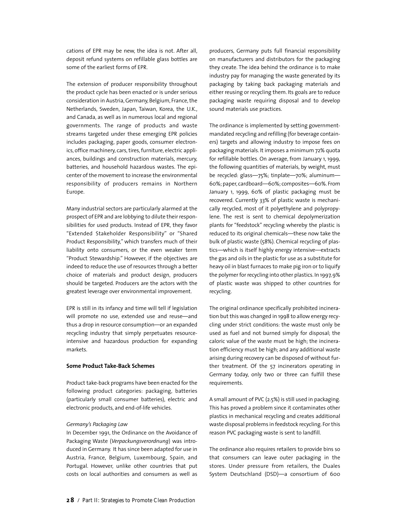cations of EPR may be new, the idea is not. After all, deposit refund systems on refillable glass bottles are some of the earliest forms of EPR.

The extension of producer responsibility throughout the product cycle has been enacted or is under serious consideration in Austria, Germany, Belgium, France, the Netherlands, Sweden, Japan, Taiwan, Korea, the U.K., and Canada, as well as in numerous local and regional governments. The range of products and waste streams targeted under these emerging EPR policies includes packaging, paper goods, consumer electronics, office machinery, cars, tires, furniture, electric appliances, buildings and construction materials, mercury, batteries, and household hazardous wastes. The epicenter of the movement to increase the environmental responsibility of producers remains in Northern Europe.

Many industrial sectors are particularly alarmed at the prospect of EPR and are lobbying to dilute their responsibilities for used products. Instead of EPR, they favor "Extended Stakeholder Responsibility" or "Shared Product Responsibility," which transfers much of their liability onto consumers, or the even weaker term "Product Stewardship." However, if the objectives are indeed to reduce the use of resources through a better choice of materials and product design, producers should be targeted. Producers are the actors with the greatest leverage over environmental improvement.

EPR is still in its infancy and time will tell if legislation will promote no use, extended use and reuse—and thus a drop in resource consumption—or an expanded recycling industry that simply perpetuates resourceintensive and hazardous production for expanding markets.

#### **Some Product Take-Back Schemes**

Product take-back programs have been enacted for the following product categories: packaging, batteries (particularly small consumer batteries), electric and electronic products, and end-of-life vehicles.

#### *Germany's Packaging Law*

In December 1991, the Ordinance on the Avoidance of Packaging Waste (*Verpackungsverordnung*) was introduced in Germany. It has since been adapted for use in Austria, France, Belgium, Luxembourg, Spain, and Portugal. However, unlike other countries that put costs on local authorities and consumers as well as

producers, Germany puts full financial responsibility on manufacturers and distributors for the packaging they create. The idea behind the ordinance is to make industry pay for managing the waste generated by its packaging by taking back packaging materials and either reusing or recycling them. Its goals are to reduce packaging waste requiring disposal and to develop sound materials use practices.

The ordinance is implemented by setting governmentmandated recycling and refilling (for beverage containers) targets and allowing industry to impose fees on packaging materials. It imposes a minimum 72% quota for refillable bottles. On average, from January 1, 1999, the following quantities of materials, by weight, must be recycled: glass—75%; tinplate—70%; aluminum— 60%; paper, cardboard—60%; composites—60%. From January 1, 1999, 60% of plastic packaging must be recovered. Currently 33% of plastic waste is mechanically recycled, most of it polyethylene and polypropylene. The rest is sent to chemical depolymerization plants for "feedstock" recycling whereby the plastic is reduced to its original chemicals—these now take the bulk of plastic waste (58%). Chemical recycling of plastics—which is itself highly energy intensive—extracts the gas and oils in the plastic for use as a substitute for heavy oil in blast furnaces to make pig iron or to liquify the polymer for recycling into other plastics. In 1997, 9% of plastic waste was shipped to other countries for recycling.

The original ordinance specifically prohibited incineration but this was changed in 1998 to allow energy recycling under strict conditions: the waste must only be used as fuel and not burned simply for disposal; the caloric value of the waste must be high; the incineration efficiency must be high; and any additional waste arising during recovery can be disposed of without further treatment. Of the 57 incinerators operating in Germany today, only two or three can fulfill these requirements.

A small amount of PVC (2.5%) is still used in packaging. This has proved a problem since it contaminates other plastics in mechanical recycling and creates additional waste disposal problems in feedstock recycling. For this reason PVC packaging waste is sent to landfill.

The ordinance also requires retailers to provide bins so that consumers can leave outer packaging in the stores. Under pressure from retailers, the Duales System Deutschland (DSD)—a consortium of 600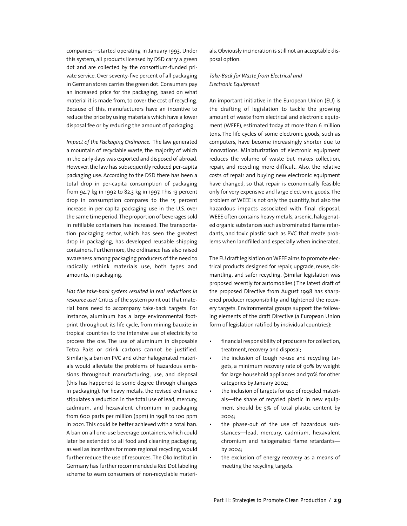companies—started operating in January 1993. Under this system, all products licensed by DSD carry a green dot and are collected by the consortium-funded private service. Over seventy-five percent of all packaging in German stores carries the green dot. Consumers pay an increased price for the packaging, based on what material it is made from, to cover the cost of recycling. Because of this, manufacturers have an incentive to reduce the price by using materials which have a lower disposal fee or by reducing the amount of packaging.

*Impact of the Packaging Ordinance.* The law generated a mountain of recyclable waste, the majority of which in the early days was exported and disposed of abroad. However, the law has subsequently reduced per-capita packaging use. According to the DSD there has been a total drop in per-capita consumption of packaging from 94.7 kg in 1992 to 82.3 kg in 1997. This 13 percent drop in consumption compares to the 15 percent increase in per-capita packaging use in the U.S. over the same time period.The proportion of beverages sold in refillable containers has increased. The transportation packaging sector, which has seen the greatest drop in packaging, has developed reusable shipping containers. Furthermore, the ordinance has also raised awareness among packaging producers of the need to radically rethink materials use, both types and amounts, in packaging.

*Has the take-back system resulted in real reductions in resource use?* Critics of the system point out that material bans need to accompany take-back targets. For instance, aluminum has a large environmental footprint throughout its life cycle, from mining bauxite in tropical countries to the intensive use of electricity to process the ore. The use of aluminum in disposable Tetra Paks or drink cartons cannot be justified. Similarly, a ban on PVC and other halogenated materials would alleviate the problems of hazardous emissions throughout manufacturing, use, and disposal (this has happened to some degree through changes in packaging). For heavy metals, the revised ordinance stipulates a reduction in the total use of lead, mercury, cadmium, and hexavalent chromium in packaging from 600 parts per million (ppm) in 1998 to 100 ppm in 2001. This could be better achieved with a total ban. A ban on all one-use beverage containers, which could later be extended to all food and cleaning packaging, as well as incentives for more regional recycling, would further reduce the use of resources. The Oko Institut in Germany has further recommended a Red Dot labeling scheme to warn consumers of non-recyclable materials. Obviously incineration is still not an acceptable disposal option.

*Take-Back for Waste from Electrical and Electronic Equipment*

An important initiative in the European Union (EU) is the drafting of legislation to tackle the growing amount of waste from electrical and electronic equipment (WEEE), estimated today at more than 6 million tons. The life cycles of some electronic goods, such as computers, have become increasingly shorter due to innovations. Miniaturization of electronic equipment reduces the volume of waste but makes collection, repair, and recycling more difficult. Also, the relative costs of repair and buying new electronic equipment have changed, so that repair is economically feasible only for very expensive and large electronic goods. The problem of WEEE is not only the quantity, but also the hazardous impacts associated with final disposal. WEEE often contains heavy metals, arsenic, halogenated organic substances such as brominated flame retardants, and toxic plastic such as PVC that create problems when landfilled and especially when incinerated.

The EU draft legislation on WEEE aims to promote electrical products designed for repair, upgrade, reuse, dismantling, and safer recycling. (Similar legislation was proposed recently for automobiles.) The latest draft of the proposed Directive from August 1998 has sharpened producer responsibility and tightened the recovery targets. Environmental groups support the following elements of the draft Directive (a European Union form of legislation ratified by individual countries):

- financial responsibility of producers for collection, treatment, recovery and disposal;
- the inclusion of tough re-use and recycling targets, a minimum recovery rate of 90% by weight for large household appliances and 70% for other categories by January 2004;
- the inclusion of targets for use of recycled materials—the share of recycled plastic in new equipment should be 5% of total plastic content by 2004;
- the phase-out of the use of hazardous substances—lead, mercury, cadmium, hexavalent chromium and halogenated flame retardants by 2004;
- the exclusion of energy recovery as a means of meeting the recycling targets.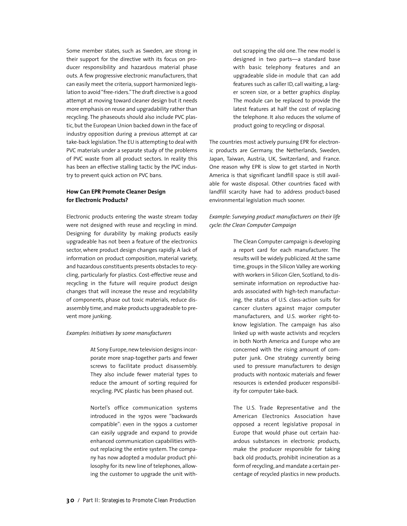Some member states, such as Sweden, are strong in their support for the directive with its focus on producer responsibility and hazardous material phase outs. A few progressive electronic manufacturers, that can easily meet the criteria, support harmonized legislation to avoid "free-riders."The draft directive is a good attempt at moving toward cleaner design but it needs more emphasis on reuse and upgradability rather than recycling. The phaseouts should also include PVC plastic, but the European Union backed down in the face of industry opposition during a previous attempt at car take-back legislation.The EU is attempting to deal with PVC materials under a separate study of the problems of PVC waste from all product sectors. In reality this has been an effective stalling tactic by the PVC industry to prevent quick action on PVC bans.

## **How Can EPR Promote Cleaner Design for Electronic Products?**

Electronic products entering the waste stream today were not designed with reuse and recycling in mind. Designing for durability by making products easily upgradeable has not been a feature of the electronics sector, where product design changes rapidly. A lack of information on product composition, material variety, and hazardous constituents presents obstacles to recycling, particularly for plastics. Cost-effective reuse and recycling in the future will require product design changes that will increase the reuse and recyclability of components, phase out toxic materials, reduce disassembly time, and make products upgradeable to prevent more junking.

#### *Examples: Initiatives by some manufacturers*

At Sony Europe, new television designs incorporate more snap-together parts and fewer screws to facilitate product disassembly. They also include fewer material types to reduce the amount of sorting required for recycling. PVC plastic has been phased out.

Nortel's office communication systems introduced in the 1970s were "backwards compatible": even in the 1990s a customer can easily upgrade and expand to provide enhanced communication capabilities without replacing the entire system. The company has now adopted a modular product philosophy for its new line of telephones, allowing the customer to upgrade the unit with-

out scrapping the old one. The new model is designed in two parts—a standard base with basic telephony features and an upgradeable slide-in module that can add features such as caller ID, call waiting, a larger screen size, or a better graphics display. The module can be replaced to provide the latest features at half the cost of replacing the telephone. It also reduces the volume of product going to recycling or disposal.

The countries most actively pursuing EPR for electronic products are Germany, the Netherlands, Sweden, Japan, Taiwan, Austria, UK, Switzerland, and France. One reason why EPR is slow to get started in North America is that significant landfill space is still available for waste disposal. Other countries faced with landfill scarcity have had to address product-based environmental legislation much sooner.

*Example: Surveying product manufacturers on their life cycle: the Clean Computer Campaign*

> The Clean Computer campaign is developing a report card for each manufacturer. The results will be widely publicized. At the same time, groups in the Silicon Valley are working with workers in Silicon Glen, Scotland, to disseminate information on reproductive hazards associated with high-tech manufacturing, the status of U.S. class-action suits for cancer clusters against major computer manufacturers, and U.S. worker right-toknow legislation. The campaign has also linked up with waste activists and recyclers in both North America and Europe who are concerned with the rising amount of computer junk. One strategy currently being used to pressure manufacturers to design products with nontoxic materials and fewer resources is extended producer responsibility for computer take-back.

> The U.S. Trade Representative and the American Electronics Association have opposed a recent legislative proposal in Europe that would phase out certain hazardous substances in electronic products, make the producer responsible for taking back old products, prohibit incineration as a form of recycling, and mandate a certain percentage of recycled plastics in new products.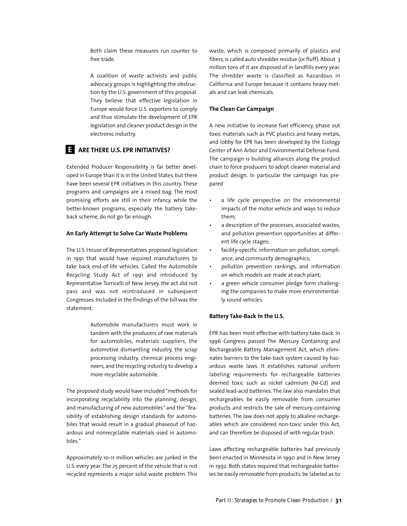Both claim these measures run counter to free trade.

A coalition of waste activists and public advocacy groups is highlighting the obstruction by the U.S. government of this proposal. They believe that effective legislation in Europe would force U.S. exporters to comply and thus stimulate the development of EPR legislation and cleaner product design in the electronic industry.

## **E ARE THERE U.S. EPR INITIATIVES?**

Extended Producer Responsibility is far better developed in Europe than it is in the United States, but there have been several EPR initiatives in this country. These programs and campaigns are a mixed bag. The most promising efforts are still in their infancy, while the better-known programs, especially the battery takeback scheme, do not go far enough.

## **An Early Attempt to Solve Car Waste Problems**

The U.S. House of Representatives proposed legislation in 1991 that would have required manufacturers to take back end-of-life vehicles. Called the Automobile Recycling Study Act of 1991 and introduced by Representative Torricelli of New Jersey, the act did not pass and was not reintroduced in subsequent Congresses. Included in the findings of the bill was the statement:

> Automobile manufacturers must work in tandem with the producers of raw materials for automobiles, materials suppliers, the automotive dismantling industry, the scrap processing industry, chemical process engineers, and the recycling industry to develop a more recyclable automobile.

The proposed study would have included "methods for incorporating recyclability into the planning, design, and manufacturing of new automobiles" and the "feasibility of establishing design standards for automobiles that would result in a gradual phaseout of hazardous and nonrecyclable materials used in automobiles."

Approximately 10-11 million vehicles are junked in the U.S. every year. The 25 percent of the vehicle that is not recycled represents a major solid waste problem. This waste, which is composed primarily of plastics and fibers, is called auto shredder residue (or fluff). About 3 million tons of it are disposed of in landfills every year. The shredder waste is classified as hazardous in California and Europe because it contains heavy metals and can leak chemicals.

## **The Clean Car Campaign**

A new initiative to increase fuel efficiency, phase out toxic materials such as PVC plastics and heavy metals, and lobby for EPR has been developed by the Ecology Center of Ann Arbor and Environmental Defense Fund. The campaign is building alliances along the product chain to force producers to adopt cleaner material and product design. In particular the campaign has prepared

- a life cycle perspective on the environmental impacts of the motor vehicle and ways to reduce them;
- a description of the processes, associated wastes, and pollution prevention opportunities at different life cycle stages;
- facility-specific information on pollution, compliance, and community demographics;
- pollution prevention rankings, and information on which models are made at each plant;
- a green vehicle consumer pledge form challenging the companies to make more environmentally sound vehicles.

## **Battery Take-Back in the U.S.**

EPR has been most effective with battery take-back. In 1996 Congress passed The Mercury Containing and Rechargeable Battery Management Act, which eliminates barriers to the take-back system caused by hazardous waste laws. It establishes national uniform labeling requirements for rechargeable batteries deemed toxic such as nickel cadmium (Ni-Cd) and sealed lead-acid batteries. The law also mandates that rechargeables be easily removable from consumer products and restricts the sale of mercury-containing batteries. The law does not apply to alkaline rechargeables which are considered non-toxic under this Act, and can therefore be disposed of with regular trash.

Laws affecting rechargeable batteries had previously been enacted in Minnesota in 1990 and in New Jersey in 1992. Both states required that rechargeable batteries be easily removable from products, be labeled as to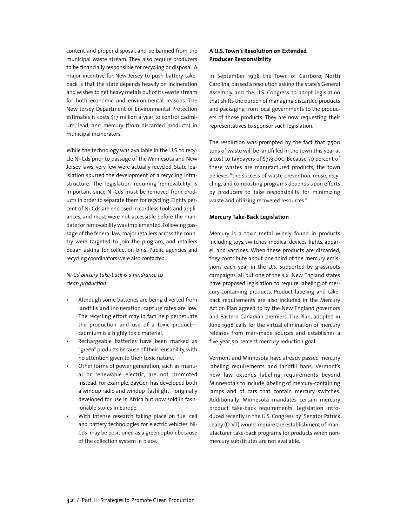content and proper disposal, and be banned from the municipal waste stream. They also require producers to be financially responsible for recycling or disposal. A major incentive for New Jersey to push battery takeback is that the state depends heavily on incineration and wishes to get heavy metals out of its waste stream for both economic and environmental reasons. The New Jersey Department of Environmental Protection estimates it costs \$17 million a year to control cadmium, lead, and mercury (from discarded products) in municipal incinerators.

While the technology was available in the U.S. to recycle Ni-Cds prior to passage of the Minnesota and New Jersey laws, very few were actually recycled. State legislation spurred the development of a recycling infrastructure. The legislation requiring removability is important since Ni-Cds must be removed from products in order to separate them for recycling. Eighty percent of Ni-Cds are enclosed in cordless tools and appliances, and most were not accessible before the mandate for removability was implemented. Following passage of the federal law, major retailers across the country were targeted to join the program, and retailers began asking for collection bins. Public agencies and recycling coordinators were also contacted.

## *Ni-Cd battery take-back is a hindrance to clean production*

- Although some batteries are being diverted from landfills and incineration, capture rates are low. The recycling effort may in fact help perpetuate the production and use of a toxic product cadmium is a highly toxic material.
- Rechargeable batteries have been marked as "green" products because of their reusability, with no attention given to their toxic nature.
- Other forms of power generation, such as manual or renewable electric, are not promoted instead. For example, BayGen has developed both a windup radio and windup flashlight—originally developed for use in Africa but now sold in fashionable stores in Europe.
- With intense research taking place on fuel cell and battery technologies for electric vehicles, Ni-Cds may be positioned as a green option because of the collection system in place.

## **A U.S. Town's Resolution on Extended Producer Responsibility**

In September 1998 the Town of Carrboro, North Carolina, passed a resolution asking the state's General Assembly and the U.S. Congress to adopt legislation that shifts the burden of managing discarded products and packaging from local governments to the producers of those products. They are now requesting their representatives to sponsor such legislation.

The resolution was prompted by the fact that 7,500 tons of waste will be landfilled in the town this year at a cost to taxpayers of \$773,000. Because 70 percent of these wastes are manufactured products, the town believes "the success of waste prevention, reuse, recycling, and composting programs depends upon efforts by producers to take responsibility for minimizing waste and utilizing recovered resources."

#### **Mercury Take-Back Legislation**

Mercury is a toxic metal widely found in products including toys, switches, medical devices, lights, apparel, and vaccines. When these products are discarded, they contribute about one third of the mercury emissions each year in the U.S. Supported by grassroots campaigns, all but one of the six New England states have proposed legislation to require labeling of mercury-containing products. Product labeling and takeback requirements are also included in the Mercury Action Plan agreed to by the New England governors and Eastern Canadian premiers. The Plan, adopted in June 1998, calls for the virtual elimination of mercury releases from man-made sources and establishes a five-year, 50 percent mercury reduction goal.

Vermont and Minnesota have already passed mercury labeling requirements and landfill bans. Vermont's new law extends labeling requirements beyond Minnesota's to include labeling of mercury-containing lamps and of cars that contain mercury switches. Additionally, Minnesota mandates certain mercury product take-back requirements. Legislation introduced recently in the U.S. Congress by Senator Patrick Leahy (D-VT) would require the establishment of manufacturer take-back programs for products when nonmercury substitutes are not available.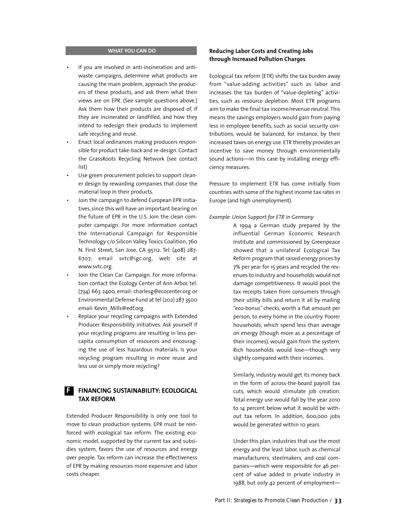#### **WHAT YOU CAN DO**

- If you are involved in anti-incineration and antiwaste campaigns, determine what products are causing the main problem, approach the producers of these products, and ask them what their views are on EPR. (See sample questions above.) Ask them how their products are disposed of, if they are incinerated or landfilled, and how they intend to redesign their products to implement safe recycling and reuse.
- Enact local ordinances making producers responsible for product take-back and re-design. Contact the GrassRoots Recycling Network (see contact list)
- Use green procurement policies to support cleaner design by rewarding companies that close the material loop in their products.
- Join the campaign to defend European EPR initiatives, since this will have an important bearing on the future of EPR in the U.S. Join the clean computer campaign. For more information contact the International Campaign for Responsible Technology c/o Silicon Valley Toxics Coalition, 760 N. First Street, San Jose, CA 95112. Tel: (408) 287- 6707; email svtc@igc.org, web site at www.svtc.org.
- Join the Clean Car Campaign. For more information contact the Ecology Center of Ann Arbor, tel: (734) 663 2400, email: charlesg@ecocenter.org or Environmental Defense Fund at tel (202) 287 3500 email: Kevin\_Mills@edf.org.
- Replace your recycling campaigns with Extended Producer Responsibility initiatives. Ask yourself if your recycling programs are resulting in less percapita consumption of resources and encouraging the use of less hazardous materials. Is your recycling program resulting in more reuse and less use or simply more recycling?

## **F FINANCING SUSTAINABILITY: ECOLOGICAL TAX REFORM**

Extended Producer Responsibility is only one tool to move to clean production systems. EPR must be reinforced with ecological tax reform. The existing economic model, supported by the current tax and subsidies system, favors the use of resources and energy over people. Tax reform can increase the effectiveness of EPR by making resources more expensive and labor costs cheaper.

## **Reducing Labor Costs and Creating Jobs through Increased Pollution Charges**

Ecological tax reform (ETR) shifts the tax burden away from "value-adding activities" such as labor and increases the tax burden of "value-depleting" activities, such as resource depletion. Most ETR programs aim to make the final tax income/revenue neutral. This means the savings employers would gain from paying less in employee benefits, such as social security contributions, would be balanced, for instance, by their increased taxes on energy use. ETR thereby provides an incentive to save money through environmentally sound actions—in this case by installing energy efficiency measures.

Pressure to implement ETR has come initially from countries with some of the highest income tax rates in Europe (and high unemployment).

#### *Example: Union Support for ETR in Germany*

A 1994 a German study prepared by the influential German Economic Research Institute and commissioned by Greenpeace showed that a unilateral Ecological Tax Reform program that raised energy prices by 7% per year for 15 years and recycled the revenues to industry and households would not damage competitiveness. It would pool the tax receipts taken from consumers through their utility bills and return it all by mailing "eco-bonus" checks, worth a flat amount per person, to every home in the country. Poorer households, which spend less than average on energy (though more as a percentage of their incomes), would gain from the system. Rich households would lose—though very slightly compared with their incomes.

Similarly, industry would get its money back in the form of across-the-board payroll tax cuts, which would stimulate job creation. Total energy use would fall by the year 2010 to 14 percent below what it would be without tax reform. In addition, 600,000 jobs would be generated within 10 years.

Under this plan, industries that use the most energy and the least labor, such as chemical manufacturers, steelmakers, and coal companies—which were responsible for 46 percent of value added in private industry in 1988, but only 42 percent of employment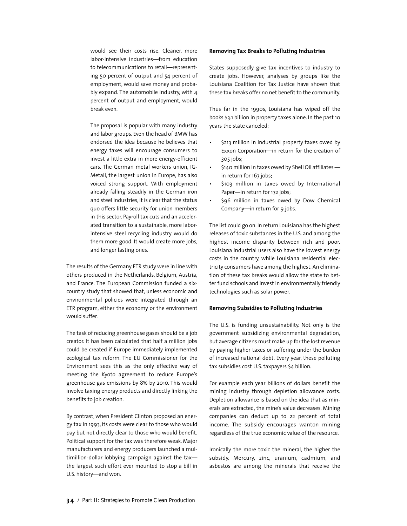would see their costs rise. Cleaner, more labor-intensive industries—from education to telecommunications to retail—representing 50 percent of output and 54 percent of employment, would save money and probably expand. The automobile industry, with 4 percent of output and employment, would break even.

The proposal is popular with many industry and labor groups. Even the head of BMW has endorsed the idea because he believes that energy taxes will encourage consumers to invest a little extra in more energy-efficient cars. The German metal workers union, IG-Metall, the largest union in Europe, has also voiced strong support. With employment already falling steadily in the German iron and steel industries, it is clear that the status quo offers little security for union members in this sector. Payroll tax cuts and an accelerated transition to a sustainable, more laborintensive steel recycling industry would do them more good. It would create more jobs, and longer lasting ones.

The results of the Germany ETR study were in line with others produced in the Netherlands, Belgium, Austria, and France. The European Commission funded a sixcountry study that showed that, unless economic and environmental policies were integrated through an ETR program, either the economy or the environment would suffer.

The task of reducing greenhouse gases should be a job creator. It has been calculated that half a million jobs could be created if Europe immediately implemented ecological tax reform. The EU Commissioner for the Environment sees this as the only effective way of meeting the Kyoto agreement to reduce Europe's greenhouse gas emissions by 8% by 2010. This would involve taxing energy products and directly linking the benefits to job creation.

By contrast, when President Clinton proposed an energy tax in 1993, its costs were clear to those who would pay but not directly clear to those who would benefit. Political support for the tax was therefore weak. Major manufacturers and energy producers launched a multimillion-dollar lobbying campaign against the tax the largest such effort ever mounted to stop a bill in U.S. history—and won.

#### **Removing Tax Breaks to Polluting Industries**

States supposedly give tax incentives to industry to create jobs. However, analyses by groups like the Louisiana Coalition for Tax Justice have shown that these tax breaks offer no net benefit to the community.

Thus far in the 1990s, Louisiana has wiped off the books \$3.1 billion in property taxes alone. In the past 10 years the state canceled:

- \$213 million in industrial property taxes owed by Exxon Corporation—in return for the creation of 305 jobs;
- \$140 million in taxes owed by Shell Oil affiliates in return for 167 jobs;
- \$103 million in taxes owed by International Paper—in return for 172 jobs;
- \$96 million in taxes owed by Dow Chemical Company-in return for 9 jobs.

The list could go on. In return Louisiana has the highest releases of toxic substances in the U.S. and among the highest income disparity between rich and poor. Louisiana industrial users also have the lowest energy costs in the country, while Louisiana residential electricity consumers have among the highest. An elimination of these tax breaks would allow the state to better fund schools and invest in environmentally friendly technologies such as solar power.

#### **Removing Subsidies to Polluting Industries**

The U.S. is funding unsustainability. Not only is the government subsidizing environmental degradation, but average citizens must make up for the lost revenue by paying higher taxes or suffering under the burden of increased national debt. Every year, these polluting tax subsidies cost U.S. taxpayers \$4 billion.

For example each year billions of dollars benefit the mining industry through depletion allowance costs. Depletion allowance is based on the idea that as minerals are extracted, the mine's value decreases. Mining companies can deduct up to 22 percent of total income. The subsidy encourages wanton mining regardless of the true economic value of the resource.

Ironically the more toxic the mineral, the higher the subsidy. Mercury, zinc, uranium, cadmium, and asbestos are among the minerals that receive the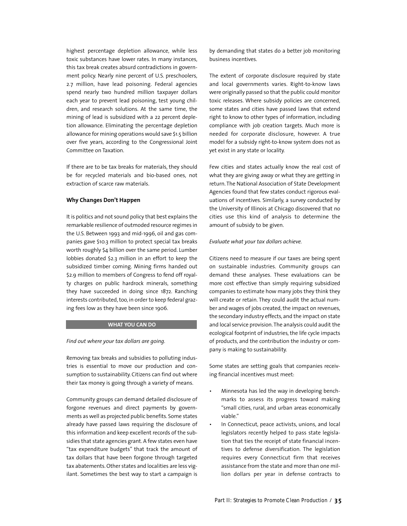highest percentage depletion allowance, while less toxic substances have lower rates. In many instances, this tax break creates absurd contradictions in government policy. Nearly nine percent of U.S. preschoolers, 2.7 million, have lead poisoning. Federal agencies spend nearly two hundred million taxpayer dollars each year to prevent lead poisoning, test young children, and research solutions. At the same time, the mining of lead is subsidized with a 22 percent depletion allowance. Eliminating the percentage depletion allowance for mining operations would save \$1.5 billion over five years, according to the Congressional Joint Committee on Taxation.

If there are to be tax breaks for materials, they should be for recycled materials and bio-based ones, not extraction of scarce raw materials.

#### **Why Changes Don't Happen**

It is politics and not sound policy that best explains the remarkable resilience of outmoded resource regimes in the U.S. Between 1993 and mid-1996, oil and gas companies gave \$10.3 million to protect special tax breaks worth roughly \$4 billion over the same period. Lumber lobbies donated \$2.3 million in an effort to keep the subsidized timber coming. Mining firms handed out \$2.9 million to members of Congress to fend off royalty charges on public hardrock minerals, something they have succeeded in doing since 1872. Ranching interests contributed, too, in order to keep federal grazing fees low as they have been since 1906.

#### **WHAT YOU CAN DO**

#### *Find out where your tax dollars are going.*

Removing tax breaks and subsidies to polluting industries is essential to move our production and consumption to sustainability. Citizens can find out where their tax money is going through a variety of means.

Community groups can demand detailed disclosure of forgone revenues and direct payments by governments as well as projected public benefits. Some states already have passed laws requiring the disclosure of this information and keep excellent records of the subsidies that state agencies grant. A few states even have "tax expenditure budgets" that track the amount of tax dollars that have been forgone through targeted tax abatements. Other states and localities are less vigilant. Sometimes the best way to start a campaign is

by demanding that states do a better job monitoring business incentives.

The extent of corporate disclosure required by state and local governments varies. Right-to-know laws were originally passed so that the public could monitor toxic releases. Where subsidy policies are concerned, some states and cities have passed laws that extend right to know to other types of information, including compliance with job creation targets. Much more is needed for corporate disclosure, however. A true model for a subsidy right-to-know system does not as yet exist in any state or locality.

Few cities and states actually know the real cost of what they are giving away or what they are getting in return. The National Association of State Development Agencies found that few states conduct rigorous evaluations of incentives. Similarly, a survey conducted by the University of Illinois at Chicago discovered that no cities use this kind of analysis to determine the amount of subsidy to be given.

#### *Evaluate what your tax dollars achieve.*

Citizens need to measure if our taxes are being spent on sustainable industries. Community groups can demand these analyses. These evaluations can be more cost effective than simply requiring subsidized companies to estimate how many jobs they think they will create or retain. They could audit the actual number and wages of jobs created, the impact on revenues, the secondary industry effects, and the impact on state and local service provision.The analysis could audit the ecological footprint of industries, the life cycle impacts of products, and the contribution the industry or company is making to sustainability.

Some states are setting goals that companies receiving financial incentives must meet:

- Minnesota has led the way in developing benchmarks to assess its progress toward making "small cities, rural, and urban areas economically viable."
- In Connecticut, peace activists, unions, and local legislators recently helped to pass state legislation that ties the receipt of state financial incentives to defense diversification. The legislation requires every Connecticut firm that receives assistance from the state and more than one million dollars per year in defense contracts to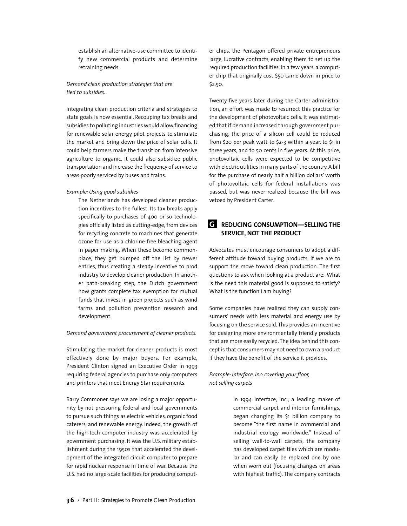establish an alternative-use committee to identify new commercial products and determine retraining needs.

## *Demand clean production strategies that are tied to subsidies.*

Integrating clean production criteria and strategies to state goals is now essential. Recouping tax breaks and subsidies to polluting industries would allow financing for renewable solar energy pilot projects to stimulate the market and bring down the price of solar cells. It could help farmers make the transition from intensive agriculture to organic. It could also subsidize public transportation and increase the frequency of service to areas poorly serviced by buses and trains.

#### *Example: Using good subsidies*

The Netherlands has developed cleaner production incentives to the fullest. Its tax breaks apply specifically to purchases of 400 or so technologies officially listed as cutting-edge, from devices for recycling concrete to machines that generate ozone for use as a chlorine-free bleaching agent in paper making. When these become commonplace, they get bumped off the list by newer entries, thus creating a steady incentive to prod industry to develop cleaner production. In another path-breaking step, the Dutch government now grants complete tax exemption for mutual funds that invest in green projects such as wind farms and pollution prevention research and development.

#### *Demand government procurement of cleaner products.*

Stimulating the market for cleaner products is most effectively done by major buyers. For example, President Clinton signed an Executive Order in 1993 requiring federal agencies to purchase only computers and printers that meet Energy Star requirements.

Barry Commoner says we are losing a major opportunity by not pressuring federal and local governments to pursue such things as electric vehicles, organic food caterers, and renewable energy. Indeed, the growth of the high-tech computer industry was accelerated by government purchasing. It was the U.S. military establishment during the 1950s that accelerated the development of the integrated circuit computer to prepare for rapid nuclear response in time of war. Because the U.S. had no large-scale facilities for producing computer chips, the Pentagon offered private entrepreneurs large, lucrative contracts, enabling them to set up the required production facilities. In a few years, a computer chip that originally cost \$50 came down in price to \$2.50.

Twenty-five years later, during the Carter administration, an effort was made to resurrect this practice for the development of photovoltaic cells. It was estimated that if demand increased through government purchasing, the price of a silicon cell could be reduced from \$20 per peak watt to \$2-3 within a year, to \$1 in three years, and to 50 cents in five years. At this price, photovoltaic cells were expected to be competitive with electric utilities in many parts of the country. A bill for the purchase of nearly half a billion dollars' worth of photovoltaic cells for federal installations was passed, but was never realized because the bill was vetoed by President Carter.

## **G REDUCING CONSUMPTION—SELLING THE SERVICE, NOT THE PRODUCT**

Advocates must encourage consumers to adopt a different attitude toward buying products, if we are to support the move toward clean production. The first questions to ask when looking at a product are: What is the need this material good is supposed to satisfy? What is the function I am buying?

Some companies have realized they can supply consumers' needs with less material and energy use by focusing on the service sold. This provides an incentive for designing more environmentally friendly products that are more easily recycled. The idea behind this concept is that consumers may not need to own a product if they have the benefit of the service it provides.

## *Example: Interface, Inc: covering your floor, not selling carpets*

In 1994 Interface, Inc., a leading maker of commercial carpet and interior furnishings, began changing its \$1 billion company to become "the first name in commercial and industrial ecology worldwide." Instead of selling wall-to-wall carpets, the company has developed carpet tiles which are modular and can easily be replaced one by one when worn out (focusing changes on areas with highest traffic). The company contracts